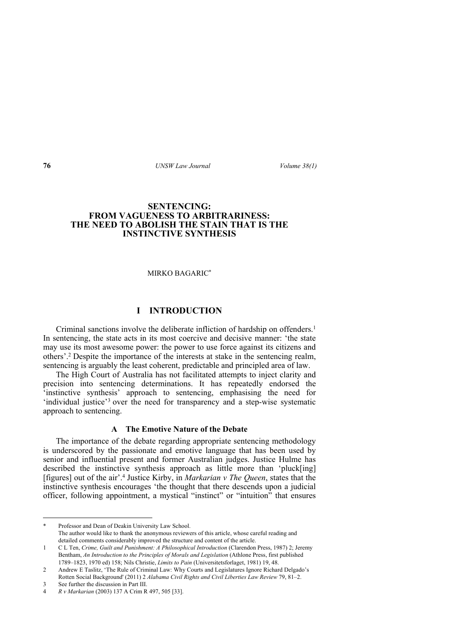## **SENTENCING: FROM VAGUENESS TO ARBITRARINESS: THE NEED TO ABOLISH THE STAIN THAT IS THE INSTINCTIVE SYNTHESIS**

### MIRKO BAGARIC\*

## **I INTRODUCTION**

Criminal sanctions involve the deliberate infliction of hardship on offenders.<sup>1</sup> In sentencing, the state acts in its most coercive and decisive manner: 'the state may use its most awesome power: the power to use force against its citizens and others'.<sup>2</sup> Despite the importance of the interests at stake in the sentencing realm, sentencing is arguably the least coherent, predictable and principled area of law.

The High Court of Australia has not facilitated attempts to inject clarity and precision into sentencing determinations. It has repeatedly endorsed the 'instinctive synthesis' approach to sentencing, emphasising the need for 'individual justice'<sup>3</sup> over the need for transparency and a step-wise systematic approach to sentencing.

### **A The Emotive Nature of the Debate**

The importance of the debate regarding appropriate sentencing methodology is underscored by the passionate and emotive language that has been used by senior and influential present and former Australian judges. Justice Hulme has described the instinctive synthesis approach as little more than 'pluck[ing] [figures] out of the air'.<sup>4</sup> Justice Kirby, in *Markarian v The Queen*, states that the instinctive synthesis encourages 'the thought that there descends upon a judicial officer, following appointment, a mystical "instinct" or "intuition" that ensures

Professor and Dean of Deakin University Law School. The author would like to thank the anonymous reviewers of this article, whose careful reading and detailed comments considerably improved the structure and content of the article.

<sup>1</sup> C L Ten, *Crime, Guilt and Punishment: A Philosophical Introduction* (Clarendon Press, 1987) 2; Jeremy Bentham, *An Introduction to the Principles of Morals and Legislation* (Athlone Press, first published 1789–1823, 1970 ed) 158; Nils Christie, *Limits to Pain* (Universitetsforlaget, 1981) 19, 48.

<sup>2</sup> Andrew E Taslitz, 'The Rule of Criminal Law: Why Courts and Legislatures Ignore Richard Delgado's Rotten Social Background' (2011) 2 *Alabama Civil Rights and Civil Liberties Law Review* 79, 81–2.

<sup>3</sup> See further the discussion in Part III.

<sup>4</sup> *R v Markarian* (2003) 137 A Crim R 497, 505 [33].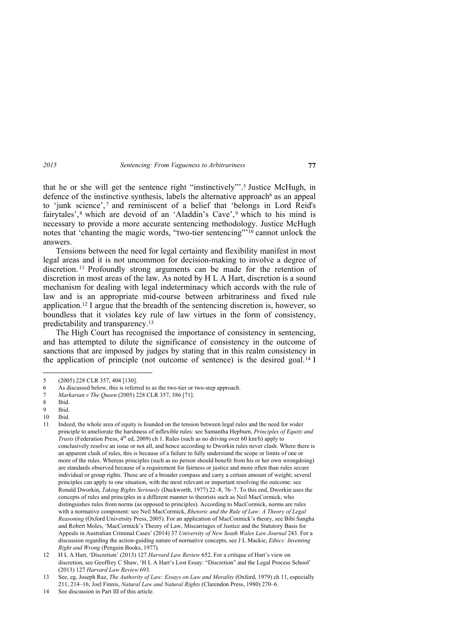that he or she will get the sentence right "instinctively"'.<sup>5</sup> Justice McHugh, in defence of the instinctive synthesis, labels the alternative approach<sup> $6$ </sup> as an appeal to 'junk science', <sup>7</sup> and reminiscent of a belief that 'belongs in Lord Reid's fairytales',<sup>8</sup> which are devoid of an 'Aladdin's Cave',<sup>9</sup> which to his mind is necessary to provide a more accurate sentencing methodology. Justice McHugh notes that 'chanting the magic words, "two-tier sentencing"'10 cannot unlock the answers.

Tensions between the need for legal certainty and flexibility manifest in most legal areas and it is not uncommon for decision-making to involve a degree of discretion. <sup>11</sup> Profoundly strong arguments can be made for the retention of discretion in most areas of the law. As noted by H L A Hart, discretion is a sound mechanism for dealing with legal indeterminacy which accords with the rule of law and is an appropriate mid-course between arbitrariness and fixed rule application.12 I argue that the breadth of the sentencing discretion is, however, so boundless that it violates key rule of law virtues in the form of consistency, predictability and transparency.<sup>13</sup>

The High Court has recognised the importance of consistency in sentencing, and has attempted to dilute the significance of consistency in the outcome of sanctions that are imposed by judges by stating that in this realm consistency in the application of principle (not outcome of sentence) is the desired goal.<sup>14</sup> I

<sup>5 (2005) 228</sup> CLR 357, 404 [130].

<sup>6</sup> As discussed below, this is referred to as the two-tier or two-step approach.

<sup>7</sup> *Markarian v The Queen* (2005) 228 CLR 357, 386 [71].

<sup>8</sup> Ibid.

<sup>9</sup> Ibid.<br>10 Ibid.

Ibid.

<sup>11</sup> Indeed, the whole area of equity is founded on the tension between legal rules and the need for wider principle to ameliorate the harshness of inflexible rules: see Samantha Hepburn, *Principles of Equity and Trusts* (Federation Press, 4<sup>th</sup> ed, 2009) ch 1. Rules (such as no driving over 60 km/h) apply to conclusively resolve an issue or not all, and hence according to Dworkin rules never clash. Where there is an apparent clash of rules, this is because of a failure to fully understand the scope or limits of one or more of the rules. Whereas principles (such as no person should benefit from his or her own wrongdoing) are standards observed because of a requirement for fairness or justice and more often than rules secure individual or group rights. These are of a broader compass and carry a certain amount of weight; several principles can apply to one situation, with the most relevant or important resolving the outcome: see Ronald Dworkin, *Taking Rights Seriously* (Duckworth, 1977) 22–8, 76–7. To this end, Dworkin uses the concepts of rules and principles in a different manner to theorists such as Neil MacCormick, who distinguishes rules from norms (as opposed to principles). According to MacCormick, norms are rules with a normative component: see Neil MacCormick, *Rhetoric and the Rule of Law: A Theory of Legal Reasoning* (Oxford University Press, 2005). For an application of MacCormick's theory, see Bibi Sangha and Robert Moles, 'MacCormick's Theory of Law, Miscarriages of Justice and the Statutory Basis for Appeals in Australian Criminal Cases' (2014) 37 *University of New South Wales Law Journal* 243. For a discussion regarding the action-guiding nature of normative concepts, see J L Mackie, *Ethics: Inventing Right and Wrong* (Penguin Books, 1977).

<sup>12</sup> H L A Hart, 'Discretion' (2013) 127 *Harvard Law Review* 652. For a critique of Hart's view on discretion, see Geoffrey C Shaw, 'H L A Hart's Lost Essay: "Discretion" and the Legal Process School' (2013) 127 *Harvard Law Review* 693.

<sup>13</sup> See, eg, Joseph Raz, *The Authority of Law: Essays on Law and Morality* (Oxford, 1979) ch 11, especially 211, 214–16; Joel Finnis, *Natural Law and Natural Rights* (Clarendon Press, 1980) 270–6.

<sup>14</sup> See discussion in Part III of this article.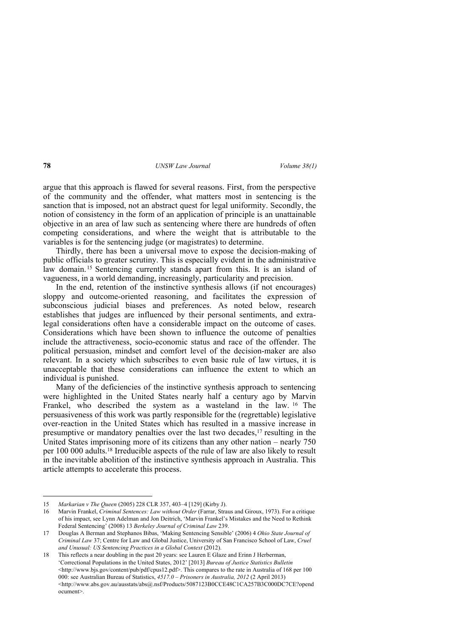argue that this approach is flawed for several reasons. First, from the perspective of the community and the offender, what matters most in sentencing is the sanction that is imposed, not an abstract quest for legal uniformity. Secondly, the notion of consistency in the form of an application of principle is an unattainable objective in an area of law such as sentencing where there are hundreds of often competing considerations, and where the weight that is attributable to the variables is for the sentencing judge (or magistrates) to determine.

Thirdly, there has been a universal move to expose the decision-making of public officials to greater scrutiny. This is especially evident in the administrative law domain.<sup>15</sup> Sentencing currently stands apart from this. It is an island of vagueness, in a world demanding, increasingly, particularity and precision.

In the end, retention of the instinctive synthesis allows (if not encourages) sloppy and outcome-oriented reasoning, and facilitates the expression of subconscious judicial biases and preferences. As noted below, research establishes that judges are influenced by their personal sentiments, and extralegal considerations often have a considerable impact on the outcome of cases. Considerations which have been shown to influence the outcome of penalties include the attractiveness, socio-economic status and race of the offender. The political persuasion, mindset and comfort level of the decision-maker are also relevant. In a society which subscribes to even basic rule of law virtues, it is unacceptable that these considerations can influence the extent to which an individual is punished.

Many of the deficiencies of the instinctive synthesis approach to sentencing were highlighted in the United States nearly half a century ago by Marvin Frankel, who described the system as a wasteland in the law. <sup>16</sup> The persuasiveness of this work was partly responsible for the (regrettable) legislative over-reaction in the United States which has resulted in a massive increase in presumptive or mandatory penalties over the last two decades,17 resulting in the United States imprisoning more of its citizens than any other nation – nearly 750 per 100 000 adults.18 Irreducible aspects of the rule of law are also likely to result in the inevitable abolition of the instinctive synthesis approach in Australia. This article attempts to accelerate this process.

<sup>15</sup> *Markarian v The Queen* (2005) 228 CLR 357, 403–4 [129] (Kirby J).

<sup>16</sup> Marvin Frankel, *Criminal Sentences: Law without Order* (Farrar, Straus and Giroux, 1973). For a critique of his impact, see Lynn Adelman and Jon Deitrich, 'Marvin Frankel's Mistakes and the Need to Rethink Federal Sentencing' (2008) 13 *Berkeley Journal of Criminal Law* 239.

<sup>17</sup> Douglas A Berman and Stephanos Bibas, 'Making Sentencing Sensible' (2006) 4 *Ohio State Journal of Criminal Law* 37; Centre for Law and Global Justice, University of San Francisco School of Law, *Cruel and Unusual: US Sentencing Practices in a Global Context* (2012).

<sup>18</sup> This reflects a near doubling in the past 20 years: see Lauren E Glaze and Erinn J Herberman, 'Correctional Populations in the United States, 2012' [2013] *Bureau of Justice Statistics Bulletin*  <http://www.bjs.gov/content/pub/pdf/cpus12.pdf>. This compares to the rate in Australia of 168 per 100 000: see Australian Bureau of Statistics, *4517.0 – Prisoners in Australia, 2012* (2 April 2013)  $\lt$ http://www.abs.gov.au/ausstats/abs@.nsf/Products/5087123B0CCE48C1CA257B3C000DC7CE?opend ocument>.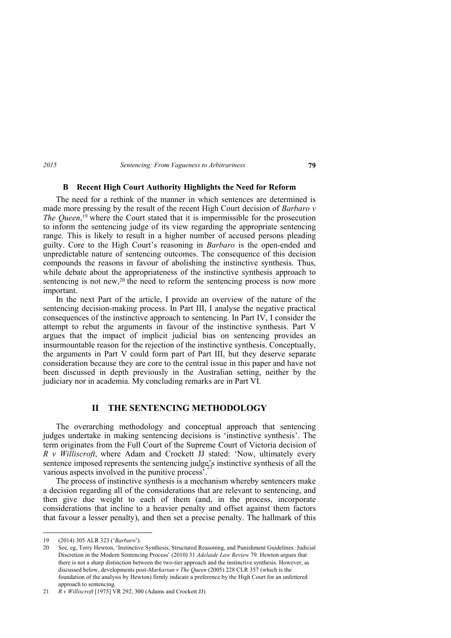### **B Recent High Court Authority Highlights the Need for Reform**

The need for a rethink of the manner in which sentences are determined is made more pressing by the result of the recent High Court decision of *Barbaro v The Queen*, <sup>19</sup> where the Court stated that it is impermissible for the prosecution to inform the sentencing judge of its view regarding the appropriate sentencing range. This is likely to result in a higher number of accused persons pleading guilty. Core to the High Court's reasoning in *Barbaro* is the open-ended and unpredictable nature of sentencing outcomes. The consequence of this decision compounds the reasons in favour of abolishing the instinctive synthesis. Thus, while debate about the appropriateness of the instinctive synthesis approach to sentencing is not new, $20$  the need to reform the sentencing process is now more important.

In the next Part of the article, I provide an overview of the nature of the sentencing decision-making process. In Part III, I analyse the negative practical consequences of the instinctive approach to sentencing. In Part IV, I consider the attempt to rebut the arguments in favour of the instinctive synthesis. Part V argues that the impact of implicit judicial bias on sentencing provides an insurmountable reason for the rejection of the instinctive synthesis. Conceptually, the arguments in Part V could form part of Part III, but they deserve separate consideration because they are core to the central issue in this paper and have not been discussed in depth previously in the Australian setting, neither by the judiciary nor in academia. My concluding remarks are in Part VI.

# **II THE SENTENCING METHODOLOGY**

The overarching methodology and conceptual approach that sentencing judges undertake in making sentencing decisions is 'instinctive synthesis'. The term originates from the Full Court of the Supreme Court of Victoria decision of *R v Williscroft*, where Adam and Crockett JJ stated: 'Now, ultimately every sentence imposed represents the sentencing  $judge<sub>2</sub><sup>2</sup>$  instinctive synthesis of all the various aspects involved in the punitive process'.

The process of instinctive synthesis is a mechanism whereby sentencers make a decision regarding all of the considerations that are relevant to sentencing, and then give due weight to each of them (and, in the process, incorporate considerations that incline to a heavier penalty and offset against them factors that favour a lesser penalty), and then set a precise penalty. The hallmark of this

<sup>19 (2014) 305</sup> ALR 323 ('*Barbaro*').

<sup>20</sup> See, eg, Terry Hewton, 'Instinctive Synthesis, Structured Reasoning, and Punishment Guidelines: Judicial Discretion in the Modern Sentencing Process' (2010) 31 *Adelaide Law Review* 79. Hewton argues that there is not a sharp distinction between the two-tier approach and the instinctive synthesis. However, as discussed below, developments post-*Markarian v The Queen* (2005) 228 CLR 357 (which is the foundation of the analysis by Hewton) firmly indicate a preference by the High Court for an unfettered approach to sentencing.

<sup>21</sup> *R v Williscroft* [1975] VR 292, 300 (Adams and Crockett JJ).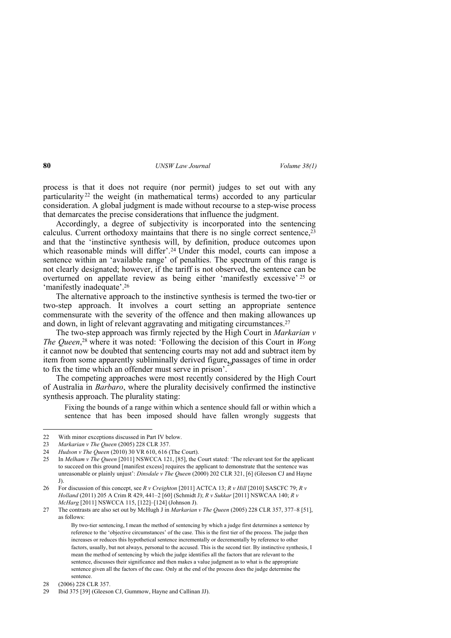process is that it does not require (nor permit) judges to set out with any particularity<sup>22</sup> the weight (in mathematical terms) accorded to any particular consideration. A global judgment is made without recourse to a step-wise process that demarcates the precise considerations that influence the judgment.

Accordingly, a degree of subjectivity is incorporated into the sentencing calculus. Current orthodoxy maintains that there is no single correct sentence.<sup>23</sup> and that the 'instinctive synthesis will, by definition, produce outcomes upon which reasonable minds will differ'.<sup>24</sup> Under this model, courts can impose a sentence within an 'available range' of penalties. The spectrum of this range is not clearly designated; however, if the tariff is not observed, the sentence can be overturned on appellate review as being either 'manifestly excessive' <sup>25</sup> or 'manifestly inadequate'.<sup>26</sup>

The alternative approach to the instinctive synthesis is termed the two-tier or two-step approach. It involves a court setting an appropriate sentence commensurate with the severity of the offence and then making allowances up and down, in light of relevant aggravating and mitigating circumstances.<sup>27</sup>

The two-step approach was firmly rejected by the High Court in *Markarian v The Queen*, <sup>28</sup> where it was noted: 'Following the decision of this Court in *Wong*  it cannot now be doubted that sentencing courts may not add and subtract item by item from some apparently subliminally derived figure<sub>22</sub> passages of time in order to fix the time which an offender must serve in prison'.

The competing approaches were most recently considered by the High Court of Australia in *Barbaro*, where the plurality decisively confirmed the instinctive synthesis approach. The plurality stating:

Fixing the bounds of a range within which a sentence should fall or within which a sentence that has been imposed should have fallen wrongly suggests that

<sup>22</sup> With minor exceptions discussed in Part IV below.

<sup>23</sup> *Markarian v The Queen* (2005) 228 CLR 357.

<sup>24</sup> *Hudson v The Queen* (2010) 30 VR 610, 616 (The Court).

<sup>25</sup> In *Melham v The Queen* [2011] NSWCCA 121, [85], the Court stated: 'The relevant test for the applicant to succeed on this ground [manifest excess] requires the applicant to demonstrate that the sentence was unreasonable or plainly unjust': *Dinsdale v The Queen* (2000) 202 CLR 321, [6] (Gleeson CJ and Hayne J).

<sup>26</sup> For discussion of this concept, see *R v Creighton* [2011] ACTCA 13; *R v Hill* [2010] SASCFC 79; *R v Holland* (2011) 205 A Crim R 429, 441–2 [60] (Schmidt J); *R v Sukkar* [2011] NSWCAA 140; *R v McHarg* [2011] NSWCCA 115, [122]–[124] (Johnson J).

<sup>27</sup> The contrasts are also set out by McHugh J in *Markarian v The Queen* (2005) 228 CLR 357, 377–8 [51], as follows:

By two-tier sentencing, I mean the method of sentencing by which a judge first determines a sentence by reference to the 'objective circumstances' of the case. This is the first tier of the process. The judge then increases or reduces this hypothetical sentence incrementally or decrementally by reference to other factors, usually, but not always, personal to the accused. This is the second tier. By instinctive synthesis, I mean the method of sentencing by which the judge identifies all the factors that are relevant to the sentence, discusses their significance and then makes a value judgment as to what is the appropriate sentence given all the factors of the case. Only at the end of the process does the judge determine the sentence.

<sup>28 (2006) 228</sup> CLR 357.

<sup>29</sup> Ibid 375 [39] (Gleeson CJ, Gummow, Hayne and Callinan JJ).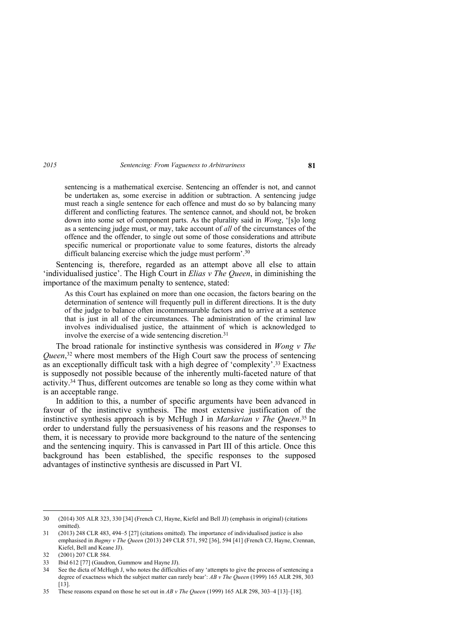sentencing is a mathematical exercise. Sentencing an offender is not, and cannot be undertaken as, some exercise in addition or subtraction. A sentencing judge must reach a single sentence for each offence and must do so by balancing many different and conflicting features. The sentence cannot, and should not, be broken down into some set of component parts. As the plurality said in *Wong*, '[s]o long as a sentencing judge must, or may, take account of *all* of the circumstances of the offence and the offender, to single out some of those considerations and attribute specific numerical or proportionate value to some features, distorts the already difficult balancing exercise which the judge must perform'.<sup>30</sup>

Sentencing is, therefore, regarded as an attempt above all else to attain 'individualised justice'. The High Court in *Elias v The Queen*, in diminishing the importance of the maximum penalty to sentence, stated:

As this Court has explained on more than one occasion, the factors bearing on the determination of sentence will frequently pull in different directions. It is the duty of the judge to balance often incommensurable factors and to arrive at a sentence that is just in all of the circumstances. The administration of the criminal law involves individualised justice, the attainment of which is acknowledged to involve the exercise of a wide sentencing discretion.<sup>31</sup>

The broad rationale for instinctive synthesis was considered in *Wong v The Queen*, <sup>32</sup> where most members of the High Court saw the process of sentencing as an exceptionally difficult task with a high degree of 'complexity'.33 Exactness is supposedly not possible because of the inherently multi-faceted nature of that activity.34 Thus, different outcomes are tenable so long as they come within what is an acceptable range.

In addition to this, a number of specific arguments have been advanced in favour of the instinctive synthesis. The most extensive justification of the instinctive synthesis approach is by McHugh J in *Markarian v The Queen*. <sup>35</sup> In order to understand fully the persuasiveness of his reasons and the responses to them, it is necessary to provide more background to the nature of the sentencing and the sentencing inquiry. This is canvassed in Part III of this article. Once this background has been established, the specific responses to the supposed advantages of instinctive synthesis are discussed in Part VI.

<sup>30 (2014) 305</sup> ALR 323, 330 [34] (French CJ, Hayne, Kiefel and Bell JJ) (emphasis in original) (citations omitted).

<sup>31 (2013) 248</sup> CLR 483, 494–5 [27] (citations omitted). The importance of individualised justice is also emphasised in *Bugmy v The Queen* (2013) 249 CLR 571, 592 [36], 594 [41] (French CJ, Hayne, Crennan, Kiefel, Bell and Keane JJ).

<sup>32 (2001) 207</sup> CLR 584.

<sup>33</sup> Ibid 612 [77] (Gaudron, Gummow and Hayne JJ).

<sup>34</sup> See the dicta of McHugh J, who notes the difficulties of any 'attempts to give the process of sentencing a degree of exactness which the subject matter can rarely bear': *AB v The Queen* (1999) 165 ALR 298, 303 [13].

<sup>35</sup> These reasons expand on those he set out in *AB v The Queen* (1999) 165 ALR 298, 303–4 [13]–[18].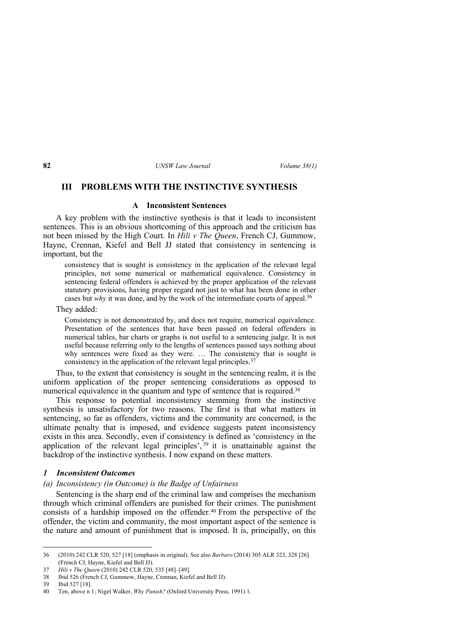## **III PROBLEMS WITH THE INSTINCTIVE SYNTHESIS**

### **A Inconsistent Sentences**

A key problem with the instinctive synthesis is that it leads to inconsistent sentences. This is an obvious shortcoming of this approach and the criticism has not been missed by the High Court. In *Hili v The Queen*, French CJ, Gummow, Hayne, Crennan, Kiefel and Bell JJ stated that consistency in sentencing is important, but the

consistency that is sought is consistency in the application of the relevant legal principles, not some numerical or mathematical equivalence. Consistency in sentencing federal offenders is achieved by the proper application of the relevant statutory provisions, having proper regard not just to what has been done in other cases but *why* it was done, and by the work of the intermediate courts of appeal.<sup>36</sup>

They added:

Consistency is not demonstrated by, and does not require, numerical equivalence. Presentation of the sentences that have been passed on federal offenders in numerical tables, bar charts or graphs is not useful to a sentencing judge. It is not useful because referring only to the lengths of sentences passed says nothing about why sentences were fixed as they were. … The consistency that is sought is consistency in the application of the relevant legal principles.<sup>37</sup>

Thus, to the extent that consistency is sought in the sentencing realm, it is the uniform application of the proper sentencing considerations as opposed to numerical equivalence in the quantum and type of sentence that is required.<sup>38</sup>

This response to potential inconsistency stemming from the instinctive synthesis is unsatisfactory for two reasons. The first is that what matters in sentencing, so far as offenders, victims and the community are concerned, is the ultimate penalty that is imposed, and evidence suggests patent inconsistency exists in this area. Secondly, even if consistency is defined as 'consistency in the application of the relevant legal principles',  $39$  it is unattainable against the backdrop of the instinctive synthesis. I now expand on these matters.

### *1 Inconsistent Outcomes*

### *(a) Inconsistency (in Outcome) is the Badge of Unfairness*

Sentencing is the sharp end of the criminal law and comprises the mechanism through which criminal offenders are punished for their crimes. The punishment consists of a hardship imposed on the offender.40 From the perspective of the offender, the victim and community, the most important aspect of the sentence is the nature and amount of punishment that is imposed. It is, principally, on this

<sup>36 (2010) 242</sup> CLR 520, 527 [18] (emphasis in original). See also *Barbaro* (2014) 305 ALR 323, 328 [26] (French CJ, Hayne, Kiefel and Bell JJ).

<sup>37</sup> *Hili v The Queen* (2010) 242 CLR 520, 535 [48]–[49].

<sup>38</sup> Ibid 526 (French CJ, Gummow, Hayne, Crennan, Kiefel and Bell JJ).

<sup>39</sup> Ibid 527 [18].

<sup>40</sup> Ten, above n 1; Nigel Walker, *Why Punish?* (Oxford University Press, 1991) 1.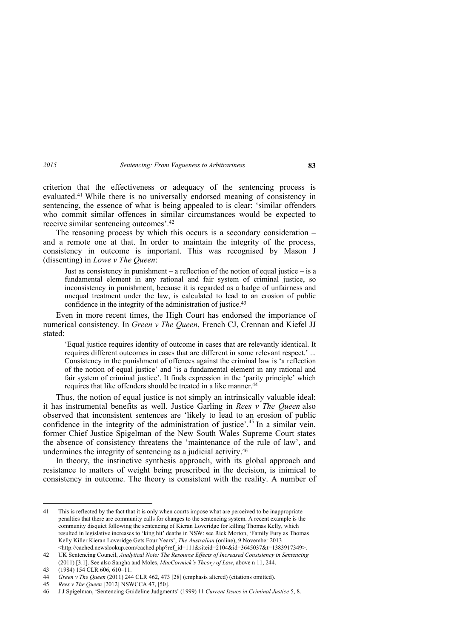criterion that the effectiveness or adequacy of the sentencing process is evaluated.41 While there is no universally endorsed meaning of consistency in sentencing, the essence of what is being appealed to is clear: 'similar offenders who commit similar offences in similar circumstances would be expected to receive similar sentencing outcomes'.<sup>42</sup>

The reasoning process by which this occurs is a secondary consideration – and a remote one at that. In order to maintain the integrity of the process, consistency in outcome is important. This was recognised by Mason J (dissenting) in *Lowe v The Queen*:

Just as consistency in punishment – a reflection of the notion of equal justice – is a fundamental element in any rational and fair system of criminal justice, so inconsistency in punishment, because it is regarded as a badge of unfairness and unequal treatment under the law, is calculated to lead to an erosion of public confidence in the integrity of the administration of justice.<sup>43</sup>

Even in more recent times, the High Court has endorsed the importance of numerical consistency. In *Green v The Queen*, French CJ, Crennan and Kiefel JJ stated:

'Equal justice requires identity of outcome in cases that are relevantly identical. It requires different outcomes in cases that are different in some relevant respect.' ... Consistency in the punishment of offences against the criminal law is 'a reflection of the notion of equal justice' and 'is a fundamental element in any rational and fair system of criminal justice'. It finds expression in the 'parity principle' which requires that like offenders should be treated in a like manner.<sup>44</sup>

Thus, the notion of equal justice is not simply an intrinsically valuable ideal; it has instrumental benefits as well. Justice Garling in *Rees v The Queen* also observed that inconsistent sentences are 'likely to lead to an erosion of public confidence in the integrity of the administration of justice'.<sup>45</sup> In a similar vein, former Chief Justice Spigelman of the New South Wales Supreme Court states the absence of consistency threatens the 'maintenance of the rule of law', and undermines the integrity of sentencing as a judicial activity.<sup>46</sup>

In theory, the instinctive synthesis approach, with its global approach and resistance to matters of weight being prescribed in the decision, is inimical to consistency in outcome. The theory is consistent with the reality. A number of

<sup>41</sup> This is reflected by the fact that it is only when courts impose what are perceived to be inappropriate penalties that there are community calls for changes to the sentencing system. A recent example is the community disquiet following the sentencing of Kieran Loveridge for killing Thomas Kelly, which resulted in legislative increases to 'king hit' deaths in NSW: see Rick Morton, 'Family Fury as Thomas Kelly Killer Kieran Loveridge Gets Four Years', *The Australian* (online), 9 November 2013 <http://cached.newslookup.com/cached.php?ref\_id=111&siteid=2104&id=3645037&t=1383917349>.

<sup>42</sup> UK Sentencing Council, *Analytical Note: The Resource Effects of Increased Consistency in Sentencing* (2011) [3.1]. See also Sangha and Moles, *MacCormick's Theory of Law*, above n 11, 244.

<sup>43 (1984) 154</sup> CLR 606, 610–11.

<sup>44</sup> *Green v The Queen* (2011) 244 CLR 462, 473 [28] (emphasis altered) (citations omitted).

<sup>45</sup> *Rees v The Queen* [2012] NSWCCA 47, [50].

<sup>46</sup> J J Spigelman, 'Sentencing Guideline Judgments' (1999) 11 *Current Issues in Criminal Justice* 5, 8.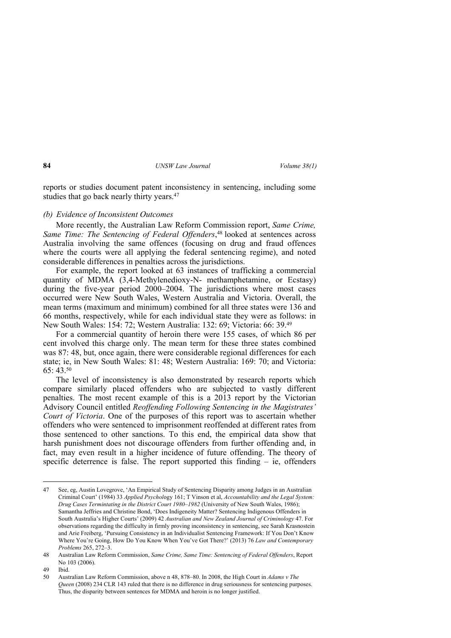reports or studies document patent inconsistency in sentencing, including some studies that go back nearly thirty years.<sup>47</sup>

## *(b) Evidence of Inconsistent Outcomes*

More recently, the Australian Law Reform Commission report, *Same Crime, Same Time: The Sentencing of Federal Offenders*, <sup>48</sup> looked at sentences across Australia involving the same offences (focusing on drug and fraud offences where the courts were all applying the federal sentencing regime), and noted considerable differences in penalties across the jurisdictions.

For example, the report looked at 63 instances of trafficking a commercial quantity of MDMA (3,4-Methylenedioxy-N- methamphetamine, or Ecstasy) during the five-year period 2000–2004. The jurisdictions where most cases occurred were New South Wales, Western Australia and Victoria. Overall, the mean terms (maximum and minimum) combined for all three states were 136 and 66 months, respectively, while for each individual state they were as follows: in New South Wales: 154: 72; Western Australia: 132: 69; Victoria: 66: 39.<sup>49</sup>

For a commercial quantity of heroin there were 155 cases, of which 86 per cent involved this charge only. The mean term for these three states combined was 87: 48, but, once again, there were considerable regional differences for each state; ie, in New South Wales: 81: 48; Western Australia: 169: 70; and Victoria:  $65 \cdot 43^{50}$ 

The level of inconsistency is also demonstrated by research reports which compare similarly placed offenders who are subjected to vastly different penalties. The most recent example of this is a 2013 report by the Victorian Advisory Council entitled *Reoffending Following Sentencing in the Magistrates' Court of Victoria*. One of the purposes of this report was to ascertain whether offenders who were sentenced to imprisonment reoffended at different rates from those sentenced to other sanctions. To this end, the empirical data show that harsh punishment does not discourage offenders from further offending and, in fact, may even result in a higher incidence of future offending. The theory of specific deterrence is false. The report supported this finding – ie, offenders

<sup>47</sup> See, eg, Austin Lovegrove, 'An Empirical Study of Sentencing Disparity among Judges in an Australian Criminal Court' (1984) 33 *Applied Psychol*ogy 161; T Vinson et al, *Accountability and the Legal System: Drug Cases Termintating in the District Court 1980*–*1982* (University of New South Wales, 1986); Samantha Jeffries and Christine Bond, 'Does Indigeneity Matter? Sentencing Indigenous Offenders in South Australia's Higher Courts' (2009) 42 *Australian and New Zealand Journal of Criminology* 47. For observations regarding the difficulty in firmly proving inconsistency in sentencing, see Sarah Krasnostein and Arie Freiberg, 'Pursuing Consistency in an Individualist Sentencing Framework: If You Don't Know Where You're Going, How Do You Know When You've Got There?' (2013) 76 *Law and Contemporary Problems* 265, 272–3.

<sup>48</sup> Australian Law Reform Commission, *Same Crime, Same Time: Sentencing of Federal Offenders*, Report No 103 (2006).

<sup>49</sup> Ibid.

<sup>50</sup> Australian Law Reform Commission, above n 48, 878–80. In 2008, the High Court in *Adams v The Queen* (2008) 234 CLR 143 ruled that there is no difference in drug seriousness for sentencing purposes. Thus, the disparity between sentences for MDMA and heroin is no longer justified.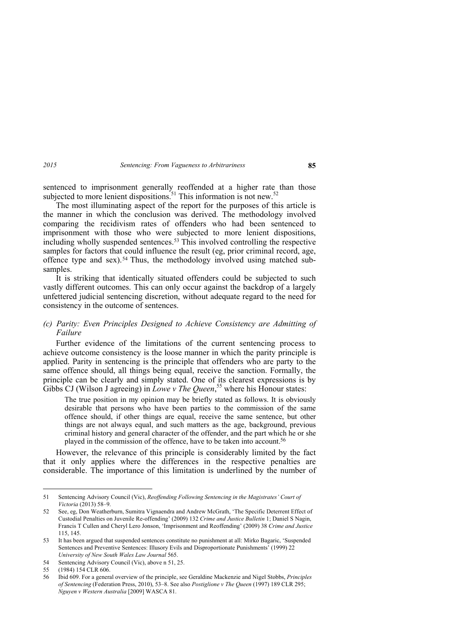sentenced to imprisonment generally reoffended at a higher rate than those subjected to more lenient dispositions.<sup>51</sup> This information is not new.<sup>52</sup>

The most illuminating aspect of the report for the purposes of this article is the manner in which the conclusion was derived. The methodology involved comparing the recidivism rates of offenders who had been sentenced to imprisonment with those who were subjected to more lenient dispositions, including wholly suspended sentences.53 This involved controlling the respective samples for factors that could influence the result (eg, prior criminal record, age, offence type and sex).54 Thus, the methodology involved using matched subsamples.

It is striking that identically situated offenders could be subjected to such vastly different outcomes. This can only occur against the backdrop of a largely unfettered judicial sentencing discretion, without adequate regard to the need for consistency in the outcome of sentences.

## *(c) Parity: Even Principles Designed to Achieve Consistency are Admitting of Failure*

Further evidence of the limitations of the current sentencing process to achieve outcome consistency is the loose manner in which the parity principle is applied. Parity in sentencing is the principle that offenders who are party to the same offence should, all things being equal, receive the sanction. Formally, the principle can be clearly and simply stated. One of its clearest expressions is by Gibbs CJ (Wilson J agreeing) in *Lowe v The Queen*,<sup>55</sup> where his Honour states:

The true position in my opinion may be briefly stated as follows. It is obviously desirable that persons who have been parties to the commission of the same offence should, if other things are equal, receive the same sentence, but other things are not always equal, and such matters as the age, background, previous criminal history and general character of the offender, and the part which he or she played in the commission of the offence, have to be taken into account.<sup>56</sup>

However, the relevance of this principle is considerably limited by the fact that it only applies where the differences in the respective penalties are considerable. The importance of this limitation is underlined by the number of

<sup>51</sup> Sentencing Advisory Council (Vic), *Reoffending Following Sentencing in the Magistrates' Court of Victoria* (2013) 58–9.

<sup>52</sup> See, eg, Don Weatherburn, Sumitra Vignaendra and Andrew McGrath, 'The Specific Deterrent Effect of Custodial Penalties on Juvenile Re-offending' (2009) 132 *Crime and Justice Bulletin* 1; Daniel S Nagin, Francis T Cullen and Cheryl Lero Jonson, 'Imprisonment and Reoffending' (2009) 38 *Crime and Justice* 115, 145.

<sup>53</sup> It has been argued that suspended sentences constitute no punishment at all: Mirko Bagaric, 'Suspended Sentences and Preventive Sentences: Illusory Evils and Disproportionate Punishments' (1999) 22 *University of New South Wales Law Journal* 565.

<sup>54</sup> Sentencing Advisory Council (Vic), above n 51, 25.

<sup>55 (1984) 154</sup> CLR 606.

<sup>56</sup> Ibid 609. For a general overview of the principle, see Geraldine Mackenzie and Nigel Stobbs, *Principles of Sentencing* (Federation Press, 2010), 53–8. See also *Postiglione v The Queen* (1997) 189 CLR 295; *Nguyen v Western Australia* [2009] WASCA 81.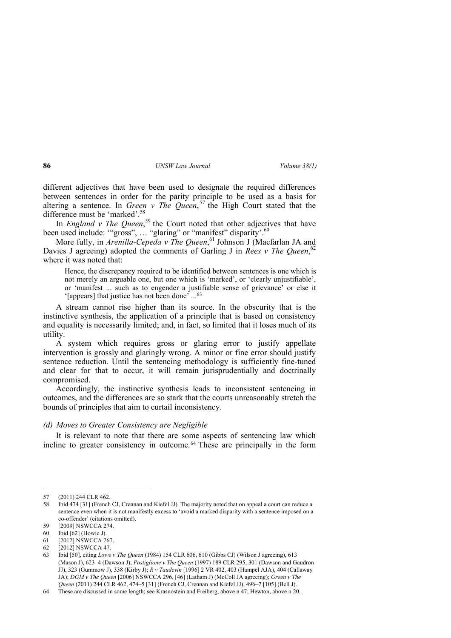different adjectives that have been used to designate the required differences between sentences in order for the parity principle to be used as a basis for altering a sentence. In *Green v The Queen*, <sup>57</sup> the High Court stated that the difference must be 'marked'.<sup>58</sup>

In *England v The Queen*,<sup>59</sup> the Court noted that other adjectives that have been used include: "gross", ... "glaring" or "manifest" disparity'.<sup>60</sup>

More fully, in *Arenilla-Cepeda v The Queen*,<sup>61</sup> Johnson J (Macfarlan JA and Davies J agreeing) adopted the comments of Garling J in *Rees v The Queen*,<sup>62</sup> where it was noted that:

Hence, the discrepancy required to be identified between sentences is one which is not merely an arguable one, but one which is 'marked', or 'clearly unjustifiable', or 'manifest ... such as to engender a justifiable sense of grievance' or else it '[appears] that justice has not been done' ...<sup>63</sup>

A stream cannot rise higher than its source. In the obscurity that is the instinctive synthesis, the application of a principle that is based on consistency and equality is necessarily limited; and, in fact, so limited that it loses much of its utility.

A system which requires gross or glaring error to justify appellate intervention is grossly and glaringly wrong. A minor or fine error should justify sentence reduction. Until the sentencing methodology is sufficiently fine-tuned and clear for that to occur, it will remain jurisprudentially and doctrinally compromised.

Accordingly, the instinctive synthesis leads to inconsistent sentencing in outcomes, and the differences are so stark that the courts unreasonably stretch the bounds of principles that aim to curtail inconsistency.

### *(d) Moves to Greater Consistency are Negligible*

It is relevant to note that there are some aspects of sentencing law which incline to greater consistency in outcome.64 These are principally in the form

<sup>57 (2011) 244</sup> CLR 462.

<sup>58</sup> Ibid 474 [31] (French CJ, Crennan and Kiefel JJ). The majority noted that on appeal a court can reduce a sentence even when it is not manifestly excess to 'avoid a marked disparity with a sentence imposed on a co-offender' (citations omitted).

<sup>59 [2009]</sup> NSWCCA 274.

<sup>60</sup> Ibid [62] (Howie J).

<sup>61 [2012]</sup> NSWCCA 267.

<sup>62 [2012]</sup> NSWCCA 47.

<sup>63</sup> Ibid [50], citing *Lowe v The Queen* (1984) 154 CLR 606, 610 (Gibbs CJ) (Wilson J agreeing), 613 (Mason J), 623–4 (Dawson J); *Postiglione v The Queen* (1997) 189 CLR 295, 301 (Dawson and Gaudron JJ), 323 (Gummow J), 338 (Kirby J); *R v Taudevin* [1996] 2 VR 402, 403 (Hampel AJA), 404 (Callaway JA); *DGM v The Queen* [2006] NSWCCA 296, [46] (Latham J) (McColl JA agreeing); *Green v The Queen* (2011) 244 CLR 462, 474–5 [31] (French CJ, Crennan and Kiefel JJ), 496–7 [105] (Bell J).

<sup>64</sup> These are discussed in some length; see Krasnostein and Freiberg, above n 47; Hewton, above n 20.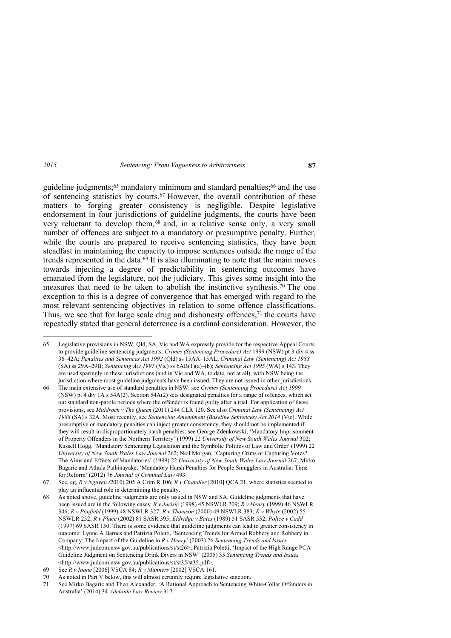guideline judgments;<sup>65</sup> mandatory minimum and standard penalties;<sup>66</sup> and the use of sentencing statistics by courts.<sup>67</sup> However, the overall contribution of these matters to forging greater consistency is negligible. Despite legislative endorsement in four jurisdictions of guideline judgments, the courts have been very reluctant to develop them, <sup>68</sup> and, in a relative sense only, a very small number of offences are subject to a mandatory or presumptive penalty. Further, while the courts are prepared to receive sentencing statistics, they have been steadfast in maintaining the capacity to impose sentences outside the range of the trends represented in the data. $6\overline{9}$  It is also illuminating to note that the main moves towards injecting a degree of predictability in sentencing outcomes have emanated from the legislature, not the judiciary. This gives some insight into the measures that need to be taken to abolish the instinctive synthesis.70 The one exception to this is a degree of convergence that has emerged with regard to the most relevant sentencing objectives in relation to some offence classifications. Thus, we see that for large scale drug and dishonesty offences, $71$  the courts have repeatedly stated that general deterrence is a cardinal consideration. However, the

<sup>65</sup> Legislative provisions in NSW, Qld, SA, Vic and WA expressly provide for the respective Appeal Courts to provide guideline sentencing judgments: *Crimes (Sentencing Procedure) Act* 1999 (NSW) pt 3 div 4 ss 36–42A; *Penalties and Sentences Act 1992* (Qld) ss 15AA–15AL; *Criminal Law (Sentencing) Act 1988* (SA) ss 29A–29B; *Sentencing Act 1991* (Vic) ss 6AB(1)(a)–(b); *Sentencing Act 1995* (WA) s 143. They are used sparingly in these jurisdictions (and in Vic and WA, to date, not at all), with NSW being the jurisdiction where most guideline judgments have been issued. They are not issued in other jurisdictions.

<sup>66</sup> The main extensive use of standard penalties in NSW: see *Crimes (Sentencing Procedure) Act 1999* (NSW) pt 4 div 1A s 54A(2). Section 54A(2) sets designated penalties for a range of offences, which set out standard non-parole periods where the offender is found guilty after a trial. For application of these provisions, see *Muldrock v The Queen* (2011) 244 CLR 120. See also *Criminal Law (Sentencing) Act 1988* (SA) s 32A. Most recently, see *Sentencing Amendment (Baseline Sentences) Act 2014* (Vic). While presumptive or mandatory penalties can inject greater consistency, they should not be implemented if they will result in disproportionately harsh penalties: see George Zdenkowski, 'Mandatory Imprisonment of Property Offenders in the Northern Territory' (1999) 22 *University of New South Wales Journal* 302; Russell Hogg, 'Mandatory Sentencing Legislation and the Symbolic Politics of Law and Order' (1999) 22 *University of New South Wales Law Journal* 262; Neil Morgan, 'Capturing Crims or Capturing Votes? The Aims and Effects of Mandatories' (1999) 22 *University of New South Wales Law Journal* 267; Mirko Bagaric and Athula Pathinayake, 'Mandatory Harsh Penalties for People Smugglers in Australia: Time for Reform' (2012) 76 *Journal of Criminal Law* 493.

<sup>67</sup> See, eg, *R v Nguyen (*2010) 205 A Crim R 106; *R v Chandler* [2010] QCA 21, where statistics seemed to play an influential role in determining the penalty.

<sup>68</sup> As noted above, guideline judgments are only issued in NSW and SA. Guideline judgments that have been issued are in the following cases: *R v Jurisic* (1998) 45 NSWLR 209; *R v Henry* (1999) 46 NSWLR 346; *R v Ponfield* (1999) 48 NSWLR 327; *R v Thomson* (2000) 49 NSWLR 383; *R v Whyte* (2002) 55 NSWLR 252; *R v Place* (2002) 81 SASR 395; *Eldridge v Bates* (1989) 51 SASR 532; *Police v Cadd* (1997) 69 SASR 150. There is some evidence that guideline judgments can lead to greater consistency in outcome: Lynne A Barnes and Patrizia Poletti, 'Sentencing Trends for Armed Robbery and Robbery in Company: The Impact of the Guideline in *R v Henry*' (2003) 26 *Sentencing Trends and Issues*  <http://www.judcom.nsw.gov.au/publications/st/st26>; Patrizia Poletti, 'Impact of the High Range PCA Guideline Judgment on Sentencing Drink Divers in NSW' (2005) 35 *Sentencing Trends and Issues*  <http://www.judcom.nsw.gov.au/publications/st/st35/st35.pdf>.

<sup>69</sup> See *R v Ioane* [2006] VSCA 84; *R v Manners* [2002] VSCA 161.

<sup>70</sup> As noted in Part V below, this will almost certainly require legislative sanction.

<sup>71</sup> See Mirko Bagaric and Theo Alexander, 'A Rational Approach to Sentencing White-Collar Offenders in Australia' (2014) 34 *Adelaide Law Review* 317.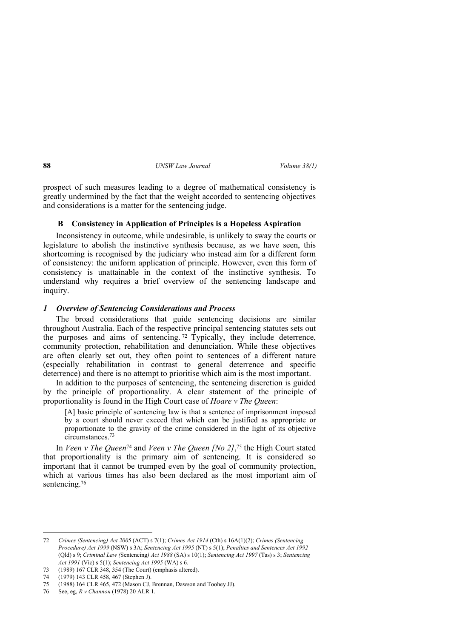prospect of such measures leading to a degree of mathematical consistency is greatly undermined by the fact that the weight accorded to sentencing objectives and considerations is a matter for the sentencing judge.

## **B Consistency in Application of Principles is a Hopeless Aspiration**

Inconsistency in outcome, while undesirable, is unlikely to sway the courts or legislature to abolish the instinctive synthesis because, as we have seen, this shortcoming is recognised by the judiciary who instead aim for a different form of consistency: the uniform application of principle. However, even this form of consistency is unattainable in the context of the instinctive synthesis. To understand why requires a brief overview of the sentencing landscape and inquiry.

## *1 Overview of Sentencing Considerations and Process*

The broad considerations that guide sentencing decisions are similar throughout Australia. Each of the respective principal sentencing statutes sets out the purposes and aims of sentencing.<sup>72</sup> Typically, they include deterrence. community protection, rehabilitation and denunciation. While these objectives are often clearly set out, they often point to sentences of a different nature (especially rehabilitation in contrast to general deterrence and specific deterrence) and there is no attempt to prioritise which aim is the most important.

In addition to the purposes of sentencing, the sentencing discretion is guided by the principle of proportionality. A clear statement of the principle of proportionality is found in the High Court case of *Hoare v The Queen*:

[A] basic principle of sentencing law is that a sentence of imprisonment imposed by a court should never exceed that which can be justified as appropriate or proportionate to the gravity of the crime considered in the light of its objective circumstances.<sup>73</sup>

In *Veen v The Queen*<sup>74</sup> and *Veen v The Queen [No 2]*, <sup>75</sup> the High Court stated that proportionality is the primary aim of sentencing. It is considered so important that it cannot be trumped even by the goal of community protection, which at various times has also been declared as the most important aim of sentencing.<sup>76</sup>

<sup>72</sup> *Crimes (Sentencing) Act 2005* (ACT) s 7(1); *Crimes Act 1914* (Cth) s 16A(1)(2); *Crimes (Sentencing Procedure) Act 1999* (NSW) s 3A; *Sentencing Act 1995* (NT) s 5(1); *Penalties and Sentences Act 1992*  (Qld) s 9; *Criminal Law (*Sentencing*) Act 1988* (SA) s 10(1); *Sentencing Act 1997* (Tas) s 3; *Sentencing Act 1991* (Vic) s 5(1); *Sentencing Act 1995* (WA) s 6.

<sup>73 (1989) 167</sup> CLR 348, 354 (The Court) (emphasis altered).

<sup>74 (1979) 143</sup> CLR 458, 467 (Stephen J).

<sup>75 (1988) 164</sup> CLR 465, 472 (Mason CJ, Brennan, Dawson and Toohey JJ).

<sup>76</sup> See, eg, *R v Channon* (1978) 20 ALR 1.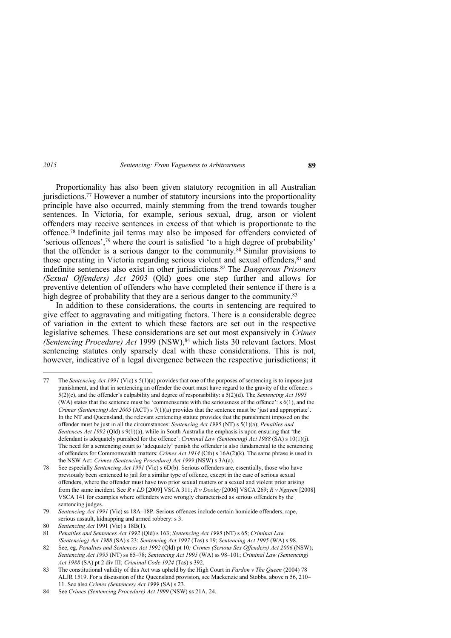Proportionality has also been given statutory recognition in all Australian jurisdictions.77 However a number of statutory incursions into the proportionality principle have also occurred, mainly stemming from the trend towards tougher sentences. In Victoria, for example, serious sexual, drug, arson or violent offenders may receive sentences in excess of that which is proportionate to the offence.78 Indefinite jail terms may also be imposed for offenders convicted of 'serious offences',79 where the court is satisfied 'to a high degree of probability' that the offender is a serious danger to the community.80 Similar provisions to those operating in Victoria regarding serious violent and sexual offenders, <sup>81</sup> and indefinite sentences also exist in other jurisdictions.82 The *Dangerous Prisoners (Sexual Offenders) Act 2003* (Qld) goes one step further and allows for preventive detention of offenders who have completed their sentence if there is a high degree of probability that they are a serious danger to the community.<sup>83</sup>

In addition to these considerations, the courts in sentencing are required to give effect to aggravating and mitigating factors. There is a considerable degree of variation in the extent to which these factors are set out in the respective legislative schemes. These considerations are set out most expansively in *Crimes (Sentencing Procedure) Act* 1999 (NSW),<sup>84</sup> which lists 30 relevant factors. Most sentencing statutes only sparsely deal with these considerations. This is not, however, indicative of a legal divergence between the respective jurisdictions; it

77 The *Sentencing Act 1991* (Vic) s 5(1)(a) provides that one of the purposes of sentencing is to impose just punishment, and that in sentencing an offender the court must have regard to the gravity of the offence: s 5(2)(c), and the offender's culpability and degree of responsibility: s 5(2)(d). The *Sentencing Act 1995* (WA) states that the sentence must be 'commensurate with the seriousness of the offence': s 6(1), and the *Crimes (Sentencing) Act 2005* (ACT) s 7(1)(a) provides that the sentence must be 'just and appropriate'. In the NT and Queensland, the relevant sentencing statute provides that the punishment imposed on the offender must be just in all the circumstances: *Sentencing Act 1995* (NT) s 5(1)(a); *Penalties and Sentences Act 1992* (Qld) s 9(1)(a), while in South Australia the emphasis is upon ensuring that 'the defendant is adequately punished for the offence': *Criminal Law (Sentencing) Act 1988* (SA) s 10(1)(j). The need for a sentencing court to 'adequately' punish the offender is also fundamental to the sentencing of offenders for Commonwealth matters: *Crimes Act 1914* (Cth) s 16A(2)(k). The same phrase is used in the NSW Act: *Crimes (Sentencing Procedure) Act 1999* (NSW) s 3A(a).

80 *Sentencing Act* 1991 (Vic) s 18B(1).

<sup>78</sup> See especially *Sentencing Act 1991* (Vic) s 6D(b). Serious offenders are, essentially, those who have previously been sentenced to jail for a similar type of offence, except in the case of serious sexual offenders, where the offender must have two prior sexual matters or a sexual and violent prior arising from the same incident. See *R v LD* [2009] VSCA 311; *R v Dooley* [2006] VSCA 269; *R v Nguyen* [2008] VSCA 141 for examples where offenders were wrongly characterised as serious offenders by the sentencing judges.

<sup>79</sup> *Sentencing Act 1991* (Vic) ss 18A–18P. Serious offences include certain homicide offenders, rape, serious assault, kidnapping and armed robbery: s 3.

<sup>81</sup> *Penalties and Sentences Act 1992* (Qld) s 163; *Sentencing Act 1995* (NT) s 65; *Criminal Law (Sentencing) Act 1988* (SA) s 23; *Sentencing Act 1997* (Tas) s 19; *Sentencing Act 1995* (WA) s 98.

<sup>82</sup> See, eg, *Penalties and Sentences Act 1992* (Qld) pt 10*; Crimes (Serious Sex Offenders) Act 2006* (NSW); *Sentencing Act 1995* (NT) ss 65–78; *Sentencing Act 1995* (WA) ss 98–101; *Criminal Law (Sentencing) Act 1988* (SA) pt 2 div III; *Criminal Code 1924* (Tas) s 392.

<sup>83</sup> The constitutional validity of this Act was upheld by the High Court in *Fardon v The Queen* (2004) 78 ALJR 1519. For a discussion of the Queensland provision, see Mackenzie and Stobbs, above n 56, 210– 11. See also *Crimes (Sentences) Act 1999* (SA) s 23.

<sup>84</sup> See *Crimes (Sentencing Procedure) Act 1999* (NSW) ss 21A, 24.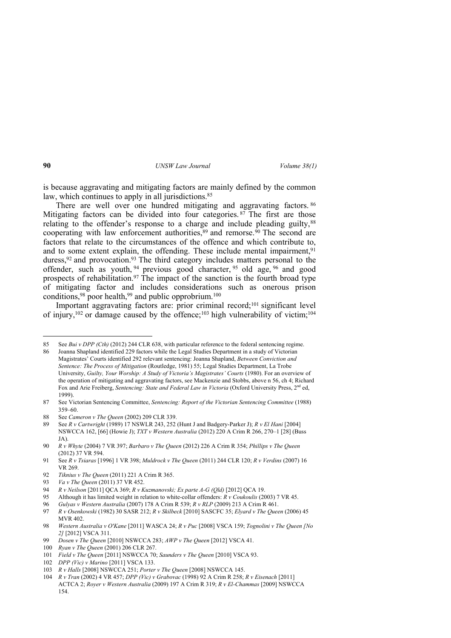is because aggravating and mitigating factors are mainly defined by the common law, which continues to apply in all jurisdictions.<sup>85</sup>

There are well over one hundred mitigating and aggravating factors. <sup>86</sup> Mitigating factors can be divided into four categories.  $87$  The first are those relating to the offender's response to a charge and include pleading guilty,<sup>88</sup> cooperating with law enforcement authorities, $89$  and remorse. $90$  The second are factors that relate to the circumstances of the offence and which contribute to, and to some extent explain, the offending. These include mental impairment, $91$ duress,<sup>92</sup> and provocation.<sup>93</sup> The third category includes matters personal to the offender, such as youth, <sup>94</sup> previous good character, <sup>95</sup> old age, <sup>96</sup> and good prospects of rehabilitation.<sup>97</sup> The impact of the sanction is the fourth broad type of mitigating factor and includes considerations such as onerous prison conditions,  $98$  poor health,  $99$  and public opprobrium.<sup>100</sup>

Important aggravating factors are: prior criminal record;101 significant level of injury,<sup>102</sup> or damage caused by the offence;<sup>103</sup> high vulnerability of victim;<sup>104</sup>

<sup>85</sup> See *Bui v DPP (Cth)* (2012) 244 CLR 638, with particular reference to the federal sentencing regime.

<sup>86</sup> Joanna Shapland identified 229 factors while the Legal Studies Department in a study of Victorian Magistrates' Courts identified 292 relevant sentencing: Joanna Shapland, *Between Conviction and Sentence: The Process of Mitigation* (Routledge, 1981) 55; Legal Studies Department, La Trobe University, *Guilty, Your Worship: A Study of Victoria's Magistrates' Courts* (1980). For an overview of the operation of mitigating and aggravating factors, see Mackenzie and Stobbs, above n 56, ch 4; Richard Fox and Arie Freiberg, *Sentencing: State and Federal Law in Victoria* (Oxford University Press, 2<sup>nd</sup> ed, 1999).

<sup>87</sup> See Victorian Sentencing Committee, *Sentencing: Report of the Victorian Sentencing Committee* (1988) 359–60.

<sup>88</sup> See *Cameron v The Queen* (2002) 209 CLR 339.

<sup>89</sup> See *R v Cartwright* (1989) 17 NSWLR 243, 252 (Hunt J and Badgery-Parker J); *R v El Hani* [2004] NSWCCA 162, [66] (Howie J); *TXT v Western Australia* (2012) 220 A Crim R 266, 270–1 [28] (Buss JA).

<sup>90</sup> *R v Whyte* (2004) 7 VR 397; *Barbaro v The Queen* (2012) 226 A Crim R 354; *Phillips v The Queen* (2012) 37 VR 594.

<sup>91</sup> See *R v Tsiaras* [1996] 1 VR 398; *Muldrock v The Queen* (2011) 244 CLR 120; *R v Verdins* (2007) 16 VR 269.

<sup>92</sup> *Tiknius v The Queen* (2011) 221 A Crim R 365.

<sup>93</sup> *Va v The Queen* (2011) 37 VR 452.

<sup>94</sup> *R v Neilson* [2011] QCA 369; *R v Kuzmanovski; Ex parte A-G (Qld)* [2012] QCA 19.

<sup>95</sup> Although it has limited weight in relation to white-collar offenders: *R v Coukoulis* (2003) 7 VR 45.

<sup>96</sup> *Gulyas v Western Australia* (2007) 178 A Crim R 539; *R v RLP* (2009) 213 A Crim R 461.

<sup>97</sup> *R v Osenkowski* (1982) 30 SASR 212; *R v Skilbeck* [2010] SASCFC 35; *Elyard v The Queen* (2006) 45 MVR 402.

<sup>98</sup> *Western Australia v O'Kane* [2011] WASCA 24; *R v Puc* [2008] VSCA 159; *Tognolini v The Queen [No 2]* [2012] VSCA 311.

<sup>99</sup> *Dosen v The Queen* [2010] NSWCCA 283; *AWP v The Queen* [2012] VSCA 41.

<sup>100</sup> *Ryan v The Queen* (2001) 206 CLR 267.

<sup>101</sup> *Field v The Queen* [2011] NSWCCA 70; *Saunders v The Queen* [2010] VSCA 93.

<sup>102</sup> *DPP (Vic) v Marino* [2011] VSCA 133.

<sup>103</sup> *R v Halls* [2008] NSWCCA 251; *Porter v The Queen* [2008] NSWCCA 145.

<sup>104</sup> *R v Tran* (2002) 4 VR 457; *DPP (Vic) v Grabovac* (1998) 92 A Crim R 258; *R v Eisenach* [2011] ACTCA 2; *Royer v Western Australia* (2009) 197 A Crim R 319; *R v El-Chammas* [2009] NSWCCA 154.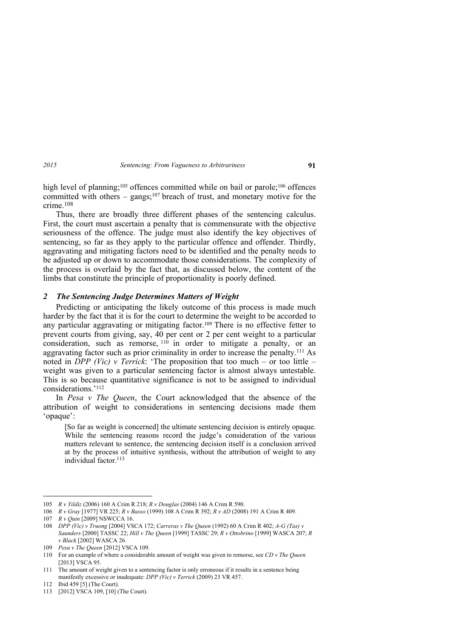high level of planning;<sup>105</sup> offences committed while on bail or parole;<sup>106</sup> offences committed with others – gangs;<sup>107</sup> breach of trust, and monetary motive for the crime.<sup>108</sup>

Thus, there are broadly three different phases of the sentencing calculus. First, the court must ascertain a penalty that is commensurate with the objective seriousness of the offence. The judge must also identify the key objectives of sentencing, so far as they apply to the particular offence and offender. Thirdly, aggravating and mitigating factors need to be identified and the penalty needs to be adjusted up or down to accommodate those considerations. The complexity of the process is overlaid by the fact that, as discussed below, the content of the limbs that constitute the principle of proportionality is poorly defined.

### *2 The Sentencing Judge Determines Matters of Weight*

Predicting or anticipating the likely outcome of this process is made much harder by the fact that it is for the court to determine the weight to be accorded to any particular aggravating or mitigating factor.109 There is no effective fetter to prevent courts from giving, say, 40 per cent or 2 per cent weight to a particular consideration, such as remorse,  $110$  in order to mitigate a penalty, or an aggravating factor such as prior criminality in order to increase the penalty.111 As noted in *DPP (Vic) v Terrick*: 'The proposition that too much – or too little – weight was given to a particular sentencing factor is almost always untestable. This is so because quantitative significance is not to be assigned to individual considerations.'<sup>112</sup>

In *Pesa v The Queen*, the Court acknowledged that the absence of the attribution of weight to considerations in sentencing decisions made them 'opaque':

[So far as weight is concerned] the ultimate sentencing decision is entirely opaque. While the sentencing reasons record the judge's consideration of the various matters relevant to sentence, the sentencing decision itself is a conclusion arrived at by the process of intuitive synthesis, without the attribution of weight to any individual factor 113

<sup>105</sup> *R v Yildiz* (2006) 160 A Crim R 218; *R v Douglas* (2004) 146 A Crim R 590.

<sup>106</sup> *R v Gray* [1977] VR 225; *R v Basso* (1999) 108 A Crim R 392; *R v AD* (2008) 191 A Crim R 409.

<sup>107</sup> *R v Quin* [2009] NSWCCA 16.

<sup>108</sup> *DPP (Vic) v Truong* [2004] VSCA 172; *Carreras v The Queen* (1992) 60 A Crim R 402; *A-G (Tas) v Saunders* [2000] TASSC 22; *Hill v The Queen* [1999] TASSC 29; *R v Ottobrino* [1999] WASCA 207; *R v Black* [2002] WASCA 26.

<sup>109</sup> *Pesa v The Queen* [2012] VSCA 109.

<sup>110</sup> For an example of where a considerable amount of weight was given to remorse, see *CD v The Queen* [2013] VSCA 95.

<sup>111</sup> The amount of weight given to a sentencing factor is only erroneous if it results in a sentence being manifestly excessive or inadequate: *DPP (Vic) v Terrick* (2009) 23 VR 457.

<sup>112</sup> Ibid 459 [5] (The Court).

<sup>113 [2012]</sup> VSCA 109, [10] (The Court).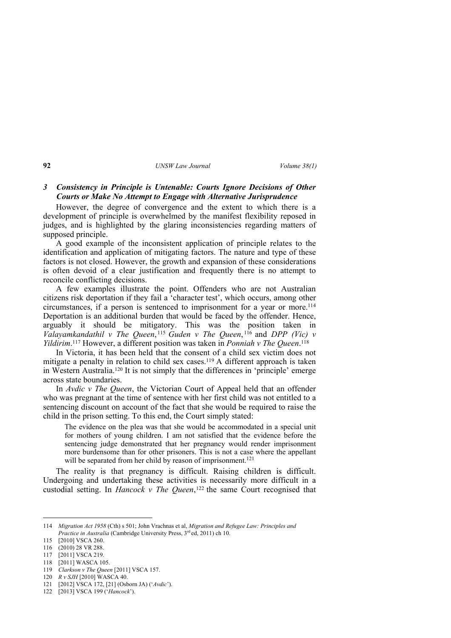#### **92** *UNSW Law Journal Volume 38(1)*

## *3 Consistency in Principle is Untenable: Courts Ignore Decisions of Other Courts or Make No Attempt to Engage with Alternative Jurisprudence*

However, the degree of convergence and the extent to which there is a development of principle is overwhelmed by the manifest flexibility reposed in judges, and is highlighted by the glaring inconsistencies regarding matters of supposed principle.

A good example of the inconsistent application of principle relates to the identification and application of mitigating factors. The nature and type of these factors is not closed. However, the growth and expansion of these considerations is often devoid of a clear justification and frequently there is no attempt to reconcile conflicting decisions.

A few examples illustrate the point. Offenders who are not Australian citizens risk deportation if they fail a 'character test', which occurs, among other circumstances, if a person is sentenced to imprisonment for a year or more.<sup>114</sup> Deportation is an additional burden that would be faced by the offender. Hence, arguably it should be mitigatory. This was the position taken in *Valayamkandathil v The Queen*,<sup>115</sup> *Guden v The Queen*,<sup>116</sup> and *DPP (Vic) v Yildirim*. <sup>117</sup> However, a different position was taken in *Ponniah v The Queen*. 118

In Victoria, it has been held that the consent of a child sex victim does not mitigate a penalty in relation to child sex cases.<sup>119</sup> A different approach is taken in Western Australia.120 It is not simply that the differences in 'principle' emerge across state boundaries.

In *Avdic v The Queen*, the Victorian Court of Appeal held that an offender who was pregnant at the time of sentence with her first child was not entitled to a sentencing discount on account of the fact that she would be required to raise the child in the prison setting. To this end, the Court simply stated:

The evidence on the plea was that she would be accommodated in a special unit for mothers of young children. I am not satisfied that the evidence before the sentencing judge demonstrated that her pregnancy would render imprisonment more burdensome than for other prisoners. This is not a case where the appellant will be separated from her child by reason of imprisonment.<sup>121</sup>

The reality is that pregnancy is difficult. Raising children is difficult. Undergoing and undertaking these activities is necessarily more difficult in a custodial setting. In *Hancock v The Queen*, <sup>122</sup> the same Court recognised that

<sup>114</sup> *Migration Act 1958* (Cth) s 501; John Vrachnas et al, *Migration and Refugee Law: Principles and Practice in Australia* (Cambridge University Press,  $3<sup>rd</sup>$  ed, 2011) ch 10.

<sup>115 [2010]</sup> VSCA 260.

<sup>116 (2010) 28</sup> VR 288.

<sup>117 [2011]</sup> VSCA 219.

<sup>118 [2011]</sup> WASCA 105.

<sup>119</sup> *Clarkson v The Queen* [2011] VSCA 157.

<sup>120</sup> *R v SJH* [2010] WASCA 40.

<sup>121 [2012]</sup> VSCA 172, [21] (Osborn JA) ('*Avdic*').

<sup>122 [2013]</sup> VSCA 199 ('*Hancock*').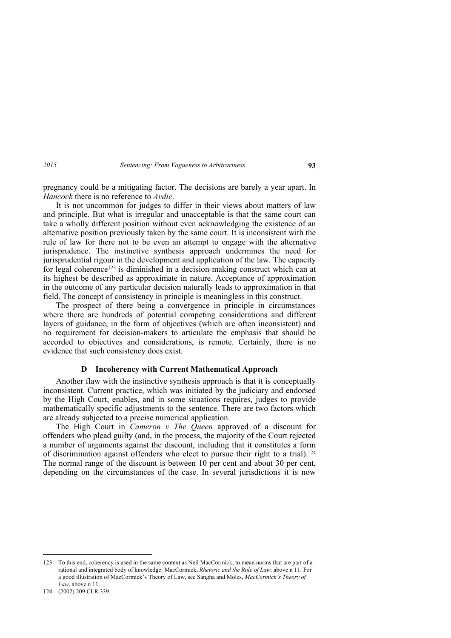pregnancy could be a mitigating factor. The decisions are barely a year apart. In *Hancock* there is no reference to *Avdic*.

It is not uncommon for judges to differ in their views about matters of law and principle. But what is irregular and unacceptable is that the same court can take a wholly different position without even acknowledging the existence of an alternative position previously taken by the same court. It is inconsistent with the rule of law for there not to be even an attempt to engage with the alternative jurisprudence. The instinctive synthesis approach undermines the need for jurisprudential rigour in the development and application of the law. The capacity for legal coherence<sup>123</sup> is diminished in a decision-making construct which can at its highest be described as approximate in nature. Acceptance of approximation in the outcome of any particular decision naturally leads to approximation in that field. The concept of consistency in principle is meaningless in this construct.

The prospect of there being a convergence in principle in circumstances where there are hundreds of potential competing considerations and different layers of guidance, in the form of objectives (which are often inconsistent) and no requirement for decision-makers to articulate the emphasis that should be accorded to objectives and considerations, is remote. Certainly, there is no evidence that such consistency does exist.

#### **D Incoherency with Current Mathematical Approach**

Another flaw with the instinctive synthesis approach is that it is conceptually inconsistent. Current practice, which was initiated by the judiciary and endorsed by the High Court, enables, and in some situations requires, judges to provide mathematically specific adjustments to the sentence. There are two factors which are already subjected to a precise numerical application.

The High Court in *Cameron v The Queen* approved of a discount for offenders who plead guilty (and, in the process, the majority of the Court rejected a number of arguments against the discount, including that it constitutes a form of discrimination against offenders who elect to pursue their right to a trial).<sup>124</sup> The normal range of the discount is between 10 per cent and about 30 per cent, depending on the circumstances of the case. In several jurisdictions it is now

<sup>123</sup> To this end, coherency is used in the same context as Neil MacCormick, to mean norms that are part of a rational and integrated body of knowledge: MacCormick, *Rhetoric and the Rule of Law,* above n 11. For a good illustration of MacCormick's Theory of Law, see Sangha and Moles, *MacCormick's Theory of Law*, above n 11.

<sup>124 (2002) 209</sup> CLR 339.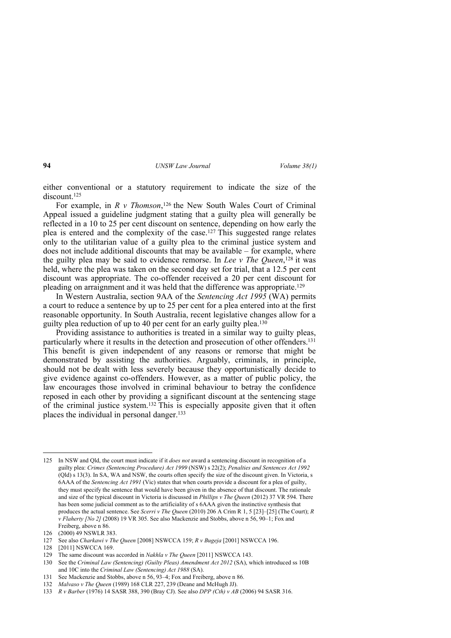either conventional or a statutory requirement to indicate the size of the discount.<sup>125</sup>

For example, in *R v Thomson*,<sup>126</sup> the New South Wales Court of Criminal Appeal issued a guideline judgment stating that a guilty plea will generally be reflected in a 10 to 25 per cent discount on sentence, depending on how early the plea is entered and the complexity of the case.127 This suggested range relates only to the utilitarian value of a guilty plea to the criminal justice system and does not include additional discounts that may be available – for example, where the guilty plea may be said to evidence remorse. In *Lee v The Queen*, <sup>128</sup> it was held, where the plea was taken on the second day set for trial, that a 12.5 per cent discount was appropriate. The co-offender received a 20 per cent discount for pleading on arraignment and it was held that the difference was appropriate.<sup>129</sup>

In Western Australia, section 9AA of the *Sentencing Act 1995* (WA) permits a court to reduce a sentence by up to 25 per cent for a plea entered into at the first reasonable opportunity. In South Australia, recent legislative changes allow for a guilty plea reduction of up to 40 per cent for an early guilty plea.<sup>130</sup>

Providing assistance to authorities is treated in a similar way to guilty pleas, particularly where it results in the detection and prosecution of other offenders.<sup>131</sup> This benefit is given independent of any reasons or remorse that might be demonstrated by assisting the authorities. Arguably, criminals, in principle, should not be dealt with less severely because they opportunistically decide to give evidence against co-offenders. However, as a matter of public policy, the law encourages those involved in criminal behaviour to betray the confidence reposed in each other by providing a significant discount at the sentencing stage of the criminal justice system.132 This is especially apposite given that it often places the individual in personal danger.<sup>133</sup>

<sup>125</sup> In NSW and Qld, the court must indicate if it *does not* award a sentencing discount in recognition of a guilty plea: *Crimes (Sentencing Procedure) Act 1999* (NSW) s 22(2); *Penalties and Sentences Act 1992* (Qld) s 13(3). In SA, WA and NSW, the courts often specify the size of the discount given. In Victoria, s 6AAA of the *Sentencing Act 1991* (Vic) states that when courts provide a discount for a plea of guilty, they must specify the sentence that would have been given in the absence of that discount. The rationale and size of the typical discount in Victoria is discussed in *Phillips v The Queen* (2012) 37 VR 594. There has been some judicial comment as to the artificiality of s 6AAA given the instinctive synthesis that produces the actual sentence. See *Scerri v The Queen* (2010) 206 A Crim R 1, 5 [23]–[25] (The Court); *R v Flaherty [No 2]* (2008) 19 VR 305. See also Mackenzie and Stobbs, above n 56, 90–1; Fox and Freiberg, above n 86.

<sup>126 (2000) 49</sup> NSWLR 383.

<sup>127</sup> See also *Charkawi v The Queen* [2008] NSWCCA 159; *R v Bugeja* [2001] NSWCCA 196.

<sup>128 [2011]</sup> NSWCCA 169.

<sup>129</sup> The same discount was accorded in *Nakhla v The Queen* [2011] NSWCCA 143.

<sup>130</sup> See the *Criminal Law (Sentencing) (Guilty Pleas) Amendment Act 2012* (SA), which introduced ss 10B and 10C into the *Criminal Law (Sentencing) Act 1988* (SA).

<sup>131</sup> See Mackenzie and Stobbs, above n 56, 93–4; Fox and Freiberg, above n 86.

<sup>132</sup> *Malvaso v The Queen* (1989) 168 CLR 227, 239 (Deane and McHugh JJ).

<sup>133</sup> *R v Barber* (1976) 14 SASR 388, 390 (Bray CJ). See also *DPP (Cth) v AB* (2006) 94 SASR 316.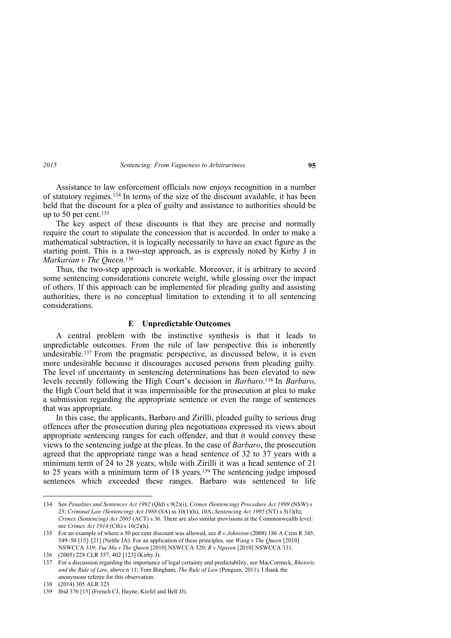Assistance to law enforcement officials now enjoys recognition in a number of statutory regimes.134 In terms of the size of the discount available, it has been held that the discount for a plea of guilty and assistance to authorities should be up to 50 per cent.<sup>135</sup>

The key aspect of these discounts is that they are precise and normally require the court to stipulate the concession that is accorded. In order to make a mathematical subtraction, it is logically necessarily to have an exact figure as the starting point. This is a two-step approach, as is expressly noted by Kirby J in *Markarian v The Queen*. 136

Thus, the two-step approach is workable. Moreover, it is arbitrary to accord some sentencing considerations concrete weight, while glossing over the impact of others. If this approach can be implemented for pleading guilty and assisting authorities, there is no conceptual limitation to extending it to all sentencing considerations.

### **E Unpredictable Outcomes**

A central problem with the instinctive synthesis is that it leads to unpredictable outcomes. From the rule of law perspective this is inherently undesirable.137 From the pragmatic perspective, as discussed below, it is even more undesirable because it discourages accused persons from pleading guilty. The level of uncertainty in sentencing determinations has been elevated to new levels recently following the High Court's decision in *Barbaro*. <sup>138</sup> In *Barbaro*, the High Court held that it was impermissible for the prosecution at plea to make a submission regarding the appropriate sentence or even the range of sentences that was appropriate.

In this case, the applicants, Barbaro and Zirilli, pleaded guilty to serious drug offences after the prosecution during plea negotiations expressed its views about appropriate sentencing ranges for each offender, and that it would convey these views to the sentencing judge at the pleas. In the case of *Barbaro*, the prosecution agreed that the appropriate range was a head sentence of 32 to 37 years with a minimum term of 24 to 28 years, while with Zirilli it was a head sentence of 21 to 25 years with a minimum term of 18 years.139 The sentencing judge imposed sentences which exceeded these ranges. Barbaro was sentenced to life

<sup>134</sup> See *Penalties and Sentences Act 1992* (Qld) s 9(2)(i); *Crimes (Sentencing) Procedure Act 1999* (NSW) s 23; *Criminal Law (Sentencing) Act 1988* (SA) ss 10(1)(h), 10A; *Sentencing Act 1995* (NT) s 5(1)(h); *Crimes (Sentencing) Act 2005* (ACT) s 36. There are also similar provisions at the Commonwealth level: see *Crimes Act 1914* (Cth) s 16(2)(h).

<sup>135</sup> For an example of where a 50 per cent discount was allowed, see *R v Johnston* (2008) 186 A Crim R 345, 349–50 [15]–[21] (Nettle JA). For an application of these principles, see *Wang v The Queen* [2010] NSWCCA 319; *Yue Ma v The Queen* [2010] NSWCCA 320; *R v Nguyen* [2010] NSWCCA 331.

<sup>136 (2005) 228</sup> CLR 357, 402 [123] (Kirby J).

<sup>137</sup> For a discussion regarding the importance of legal certainty and predictability, see MacCormick, *Rhetoric and the Rule of Law*, above n 11; Tom Bingham, *The Rule of Law* (Penguin, 2011). I thank the anonymous referee for this observation.

<sup>138 (2014) 305</sup> ALR 323.

<sup>139</sup> Ibid 376 [15] (French CJ, Hayne, Kiefel and Bell JJ).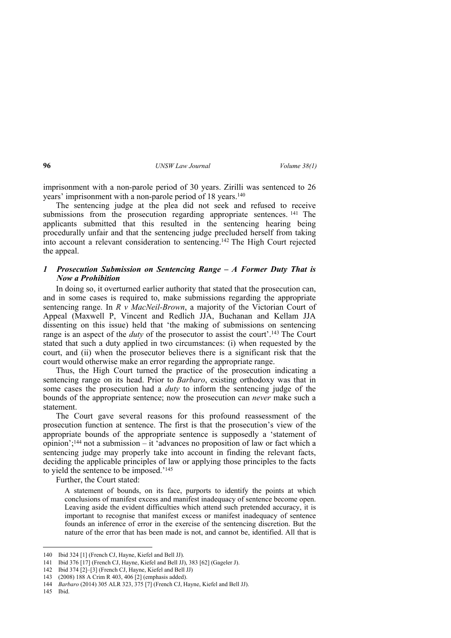imprisonment with a non-parole period of 30 years. Zirilli was sentenced to 26 years' imprisonment with a non-parole period of 18 years.<sup>140</sup>

The sentencing judge at the plea did not seek and refused to receive submissions from the prosecution regarding appropriate sentences.<sup>141</sup> The applicants submitted that this resulted in the sentencing hearing being procedurally unfair and that the sentencing judge precluded herself from taking into account a relevant consideration to sentencing.<sup>142</sup> The High Court rejected the appeal.

## *1 Prosecution Submission on Sentencing Range – A Former Duty That is Now a Prohibition*

In doing so, it overturned earlier authority that stated that the prosecution can, and in some cases is required to, make submissions regarding the appropriate sentencing range. In *R v MacNeil-Brown*, a majority of the Victorian Court of Appeal (Maxwell P, Vincent and Redlich JJA, Buchanan and Kellam JJA dissenting on this issue) held that 'the making of submissions on sentencing range is an aspect of the *duty* of the prosecutor to assist the court'.<sup>143</sup> The Court stated that such a duty applied in two circumstances: (i) when requested by the court, and (ii) when the prosecutor believes there is a significant risk that the court would otherwise make an error regarding the appropriate range.

Thus, the High Court turned the practice of the prosecution indicating a sentencing range on its head. Prior to *Barbaro*, existing orthodoxy was that in some cases the prosecution had a *duty* to inform the sentencing judge of the bounds of the appropriate sentence; now the prosecution can *never* make such a statement.

The Court gave several reasons for this profound reassessment of the prosecution function at sentence. The first is that the prosecution's view of the appropriate bounds of the appropriate sentence is supposedly a 'statement of opinion';144 not a submission – it 'advances no proposition of law or fact which a sentencing judge may properly take into account in finding the relevant facts, deciding the applicable principles of law or applying those principles to the facts to yield the sentence to be imposed.'<sup>145</sup>

Further, the Court stated:

A statement of bounds, on its face, purports to identify the points at which conclusions of manifest excess and manifest inadequacy of sentence become open. Leaving aside the evident difficulties which attend such pretended accuracy, it is important to recognise that manifest excess or manifest inadequacy of sentence founds an inference of error in the exercise of the sentencing discretion. But the nature of the error that has been made is not, and cannot be, identified. All that is

<sup>140</sup> Ibid 324 [1] (French CJ, Hayne, Kiefel and Bell JJ).

<sup>141</sup> Ibid 376 [17] (French CJ, Hayne, Kiefel and Bell JJ), 383 [62] (Gageler J).

<sup>142</sup> Ibid 374 [2]–[3] (French CJ, Hayne, Kiefel and Bell JJ)

<sup>143 (2008) 188</sup> A Crim R 403, 406 [2] (emphasis added).

<sup>144</sup> *Barbaro* (2014) 305 ALR 323, 375 [7] (French CJ, Hayne, Kiefel and Bell JJ).

<sup>145</sup> Ibid.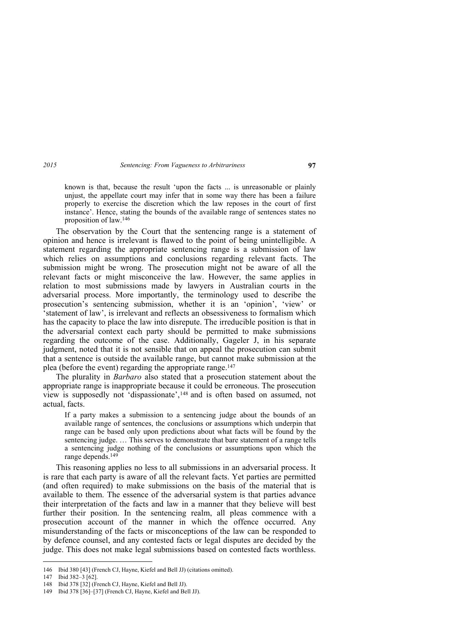known is that, because the result 'upon the facts ... is unreasonable or plainly unjust, the appellate court may infer that in some way there has been a failure properly to exercise the discretion which the law reposes in the court of first instance'. Hence, stating the bounds of the available range of sentences states no proposition of law.<sup>146</sup>

The observation by the Court that the sentencing range is a statement of opinion and hence is irrelevant is flawed to the point of being unintelligible. A statement regarding the appropriate sentencing range is a submission of law which relies on assumptions and conclusions regarding relevant facts. The submission might be wrong. The prosecution might not be aware of all the relevant facts or might misconceive the law. However, the same applies in relation to most submissions made by lawyers in Australian courts in the adversarial process. More importantly, the terminology used to describe the prosecution's sentencing submission, whether it is an 'opinion', 'view' or 'statement of law', is irrelevant and reflects an obsessiveness to formalism which has the capacity to place the law into disrepute. The irreducible position is that in the adversarial context each party should be permitted to make submissions regarding the outcome of the case. Additionally, Gageler J, in his separate judgment, noted that it is not sensible that on appeal the prosecution can submit that a sentence is outside the available range, but cannot make submission at the plea (before the event) regarding the appropriate range.<sup>147</sup>

The plurality in *Barbaro* also stated that a prosecution statement about the appropriate range is inappropriate because it could be erroneous. The prosecution view is supposedly not 'dispassionate',148 and is often based on assumed, not actual, facts.

If a party makes a submission to a sentencing judge about the bounds of an available range of sentences, the conclusions or assumptions which underpin that range can be based only upon predictions about what facts will be found by the sentencing judge. … This serves to demonstrate that bare statement of a range tells a sentencing judge nothing of the conclusions or assumptions upon which the range depends.<sup>149</sup>

This reasoning applies no less to all submissions in an adversarial process. It is rare that each party is aware of all the relevant facts. Yet parties are permitted (and often required) to make submissions on the basis of the material that is available to them. The essence of the adversarial system is that parties advance their interpretation of the facts and law in a manner that they believe will best further their position. In the sentencing realm, all pleas commence with a prosecution account of the manner in which the offence occurred. Any misunderstanding of the facts or misconceptions of the law can be responded to by defence counsel, and any contested facts or legal disputes are decided by the judge. This does not make legal submissions based on contested facts worthless.

<sup>146</sup> Ibid 380 [43] (French CJ, Hayne, Kiefel and Bell JJ) (citations omitted).

<sup>147</sup> Ibid 382–3 [62].

<sup>148</sup> Ibid 378 [32] (French CJ, Hayne, Kiefel and Bell JJ).

<sup>149</sup> Ibid 378 [36]–[37] (French CJ, Hayne, Kiefel and Bell JJ).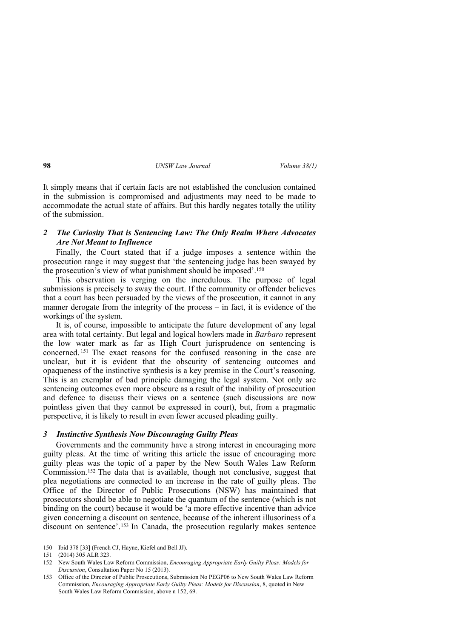It simply means that if certain facts are not established the conclusion contained in the submission is compromised and adjustments may need to be made to accommodate the actual state of affairs. But this hardly negates totally the utility of the submission.

## *2 The Curiosity That is Sentencing Law: The Only Realm Where Advocates Are Not Meant to Influence*

Finally, the Court stated that if a judge imposes a sentence within the prosecution range it may suggest that 'the sentencing judge has been swayed by the prosecution's view of what punishment should be imposed'.<sup>150</sup>

This observation is verging on the incredulous. The purpose of legal submissions is precisely to sway the court. If the community or offender believes that a court has been persuaded by the views of the prosecution, it cannot in any manner derogate from the integrity of the process – in fact, it is evidence of the workings of the system.

It is, of course, impossible to anticipate the future development of any legal area with total certainty. But legal and logical howlers made in *Barbaro* represent the low water mark as far as High Court jurisprudence on sentencing is concerned. <sup>151</sup> The exact reasons for the confused reasoning in the case are unclear, but it is evident that the obscurity of sentencing outcomes and opaqueness of the instinctive synthesis is a key premise in the Court's reasoning. This is an exemplar of bad principle damaging the legal system. Not only are sentencing outcomes even more obscure as a result of the inability of prosecution and defence to discuss their views on a sentence (such discussions are now pointless given that they cannot be expressed in court), but, from a pragmatic perspective, it is likely to result in even fewer accused pleading guilty.

### *3 Instinctive Synthesis Now Discouraging Guilty Pleas*

Governments and the community have a strong interest in encouraging more guilty pleas. At the time of writing this article the issue of encouraging more guilty pleas was the topic of a paper by the New South Wales Law Reform Commission.152 The data that is available, though not conclusive, suggest that plea negotiations are connected to an increase in the rate of guilty pleas. The Office of the Director of Public Prosecutions (NSW) has maintained that prosecutors should be able to negotiate the quantum of the sentence (which is not binding on the court) because it would be 'a more effective incentive than advice given concerning a discount on sentence, because of the inherent illusoriness of a discount on sentence'.153 In Canada, the prosecution regularly makes sentence

<sup>150</sup> Ibid 378 [33] (French CJ, Hayne, Kiefel and Bell JJ).

<sup>151</sup> (2014) 305 ALR 323.

<sup>152</sup> New South Wales Law Reform Commission, *Encouraging Appropriate Early Guilty Pleas: Models for Discussion*, Consultation Paper No 15 (2013).

<sup>153</sup> Office of the Director of Public Prosecutions, Submission No PEGP06 to New South Wales Law Reform Commission, *Encouraging Appropriate Early Guilty Pleas: Models for Discussion*, 8, quoted in New South Wales Law Reform Commission, above n 152, 69.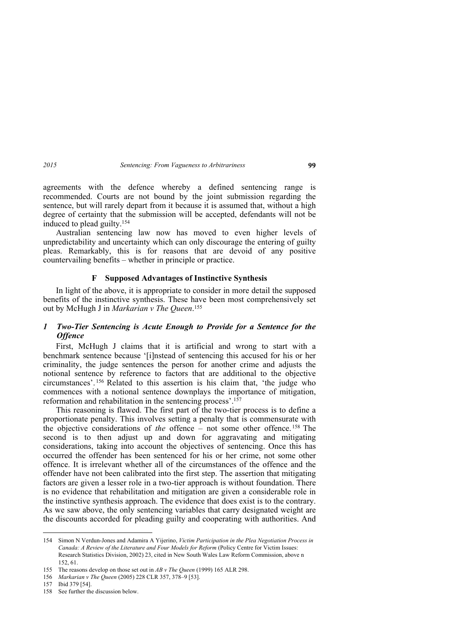agreements with the defence whereby a defined sentencing range is recommended. Courts are not bound by the joint submission regarding the sentence, but will rarely depart from it because it is assumed that, without a high degree of certainty that the submission will be accepted, defendants will not be induced to plead guilty.<sup>154</sup>

Australian sentencing law now has moved to even higher levels of unpredictability and uncertainty which can only discourage the entering of guilty pleas. Remarkably, this is for reasons that are devoid of any positive countervailing benefits – whether in principle or practice.

### **F Supposed Advantages of Instinctive Synthesis**

In light of the above, it is appropriate to consider in more detail the supposed benefits of the instinctive synthesis. These have been most comprehensively set out by McHugh J in *Markarian v The Queen*. 155

## *1 Two-Tier Sentencing is Acute Enough to Provide for a Sentence for the Offence*

First, McHugh J claims that it is artificial and wrong to start with a benchmark sentence because '[i]nstead of sentencing this accused for his or her criminality, the judge sentences the person for another crime and adjusts the notional sentence by reference to factors that are additional to the objective circumstances'. <sup>156</sup> Related to this assertion is his claim that, 'the judge who commences with a notional sentence downplays the importance of mitigation, reformation and rehabilitation in the sentencing process'.<sup>157</sup>

This reasoning is flawed. The first part of the two-tier process is to define a proportionate penalty. This involves setting a penalty that is commensurate with the objective considerations of *the* offence – not some other offence. <sup>158</sup> The second is to then adjust up and down for aggravating and mitigating considerations, taking into account the objectives of sentencing. Once this has occurred the offender has been sentenced for his or her crime, not some other offence. It is irrelevant whether all of the circumstances of the offence and the offender have not been calibrated into the first step. The assertion that mitigating factors are given a lesser role in a two-tier approach is without foundation. There is no evidence that rehabilitation and mitigation are given a considerable role in the instinctive synthesis approach. The evidence that does exist is to the contrary. As we saw above, the only sentencing variables that carry designated weight are the discounts accorded for pleading guilty and cooperating with authorities. And

<sup>154</sup> Simon N Verdun-Jones and Adamira A Yijerino, *Victim Participation in the Plea Negotiation Process in Canada: A Review of the Literature and Four Models for Reform* (Policy Centre for Victim Issues: Research Statistics Division, 2002) 23, cited in New South Wales Law Reform Commission, above n 152, 61.

<sup>155</sup> The reasons develop on those set out in *AB v The Queen* (1999) 165 ALR 298.

<sup>156</sup> *Markarian v The Queen* (2005) 228 CLR 357, 378–9 [53].

<sup>157</sup> Ibid 379 [54].

<sup>158</sup> See further the discussion below.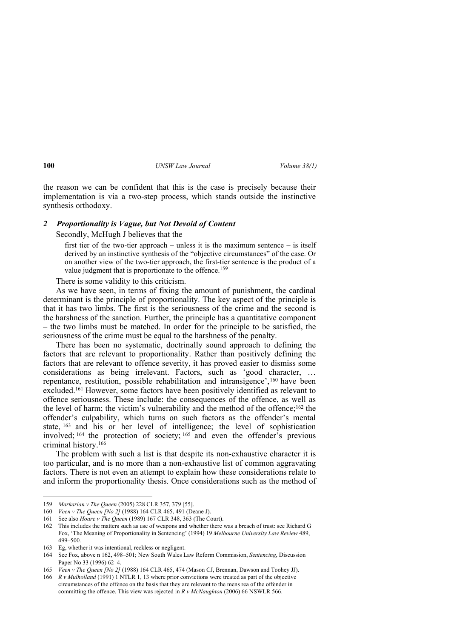the reason we can be confident that this is the case is precisely because their implementation is via a two-step process, which stands outside the instinctive synthesis orthodoxy.

## *2 Proportionality is Vague, but Not Devoid of Content*

Secondly, McHugh J believes that the

first tier of the two-tier approach – unless it is the maximum sentence – is itself derived by an instinctive synthesis of the "objective circumstances" of the case. Or on another view of the two-tier approach, the first-tier sentence is the product of a value judgment that is proportionate to the offence.<sup>159</sup>

There is some validity to this criticism.

As we have seen, in terms of fixing the amount of punishment, the cardinal determinant is the principle of proportionality. The key aspect of the principle is that it has two limbs. The first is the seriousness of the crime and the second is the harshness of the sanction. Further, the principle has a quantitative component – the two limbs must be matched. In order for the principle to be satisfied, the seriousness of the crime must be equal to the harshness of the penalty.

There has been no systematic, doctrinally sound approach to defining the factors that are relevant to proportionality. Rather than positively defining the factors that are relevant to offence severity, it has proved easier to dismiss some considerations as being irrelevant. Factors, such as 'good character, … repentance, restitution, possible rehabilitation and intransigence',160 have been excluded.161 However, some factors have been positively identified as relevant to offence seriousness. These include: the consequences of the offence, as well as the level of harm; the victim's vulnerability and the method of the offence;162 the offender's culpability, which turns on such factors as the offender's mental state, <sup>163</sup> and his or her level of intelligence; the level of sophistication involved; <sup>164</sup> the protection of society; <sup>165</sup> and even the offender's previous criminal history.<sup>166</sup>

The problem with such a list is that despite its non-exhaustive character it is too particular, and is no more than a non-exhaustive list of common aggravating factors. There is not even an attempt to explain how these considerations relate to and inform the proportionality thesis. Once considerations such as the method of

<sup>159</sup> *Markarian v The Queen* (2005) 228 CLR 357, 379 [55].

<sup>160</sup> *Veen v The Queen [No 2]* (1988) 164 CLR 465, 491 (Deane J).

<sup>161</sup> See also *Hoare v The Queen* (1989) 167 CLR 348, 363 (The Court).

<sup>162</sup> This includes the matters such as use of weapons and whether there was a breach of trust: see Richard G Fox, 'The Meaning of Proportionality in Sentencing' (1994) 19 *Melbourne University Law Review* 489, 499–500.

<sup>163</sup> Eg, whether it was intentional, reckless or negligent.

<sup>164</sup> See Fox, above n 162, 498–501; New South Wales Law Reform Commission, *Sentencing*, Discussion Paper No 33 (1996) 62–4.

<sup>165</sup> *Veen v The Queen [No 2]* (1988) 164 CLR 465, 474 (Mason CJ, Brennan, Dawson and Toohey JJ).

<sup>166</sup> *R v Mulholland* (1991) 1 NTLR 1, 13 where prior convictions were treated as part of the objective circumstances of the offence on the basis that they are relevant to the mens rea of the offender in committing the offence. This view was rejected in *R v McNaughton* (2006) 66 NSWLR 566.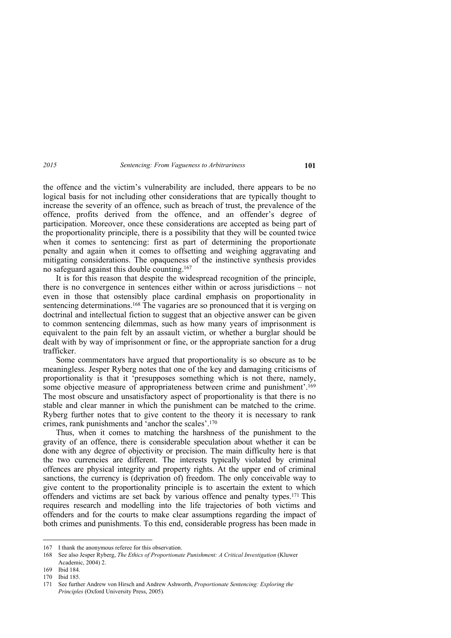the offence and the victim's vulnerability are included, there appears to be no logical basis for not including other considerations that are typically thought to increase the severity of an offence, such as breach of trust, the prevalence of the offence, profits derived from the offence, and an offender's degree of participation. Moreover, once these considerations are accepted as being part of the proportionality principle, there is a possibility that they will be counted twice when it comes to sentencing: first as part of determining the proportionate penalty and again when it comes to offsetting and weighing aggravating and mitigating considerations. The opaqueness of the instinctive synthesis provides no safeguard against this double counting.<sup>167</sup>

It is for this reason that despite the widespread recognition of the principle, there is no convergence in sentences either within or across jurisdictions – not even in those that ostensibly place cardinal emphasis on proportionality in sentencing determinations.<sup>168</sup> The vagaries are so pronounced that it is verging on doctrinal and intellectual fiction to suggest that an objective answer can be given to common sentencing dilemmas, such as how many years of imprisonment is equivalent to the pain felt by an assault victim, or whether a burglar should be dealt with by way of imprisonment or fine, or the appropriate sanction for a drug trafficker.

Some commentators have argued that proportionality is so obscure as to be meaningless. Jesper Ryberg notes that one of the key and damaging criticisms of proportionality is that it 'presupposes something which is not there, namely, some objective measure of appropriateness between crime and punishment'.<sup>169</sup> The most obscure and unsatisfactory aspect of proportionality is that there is no stable and clear manner in which the punishment can be matched to the crime. Ryberg further notes that to give content to the theory it is necessary to rank crimes, rank punishments and 'anchor the scales'.<sup>170</sup>

Thus, when it comes to matching the harshness of the punishment to the gravity of an offence, there is considerable speculation about whether it can be done with any degree of objectivity or precision. The main difficulty here is that the two currencies are different. The interests typically violated by criminal offences are physical integrity and property rights. At the upper end of criminal sanctions, the currency is (deprivation of) freedom. The only conceivable way to give content to the proportionality principle is to ascertain the extent to which offenders and victims are set back by various offence and penalty types.171 This requires research and modelling into the life trajectories of both victims and offenders and for the courts to make clear assumptions regarding the impact of both crimes and punishments. To this end, considerable progress has been made in

<sup>167</sup> I thank the anonymous referee for this observation.

<sup>168</sup> See also Jesper Ryberg, *The Ethics of Proportionate Punishment: A Critical Investigation* (Kluwer Academic, 2004) 2.

<sup>169</sup> Ibid 184.

<sup>170</sup> Ibid 185.

<sup>171</sup> See further Andrew von Hirsch and Andrew Ashworth, *Proportionate Sentencing: Exploring the Principles* (Oxford University Press, 2005)*.*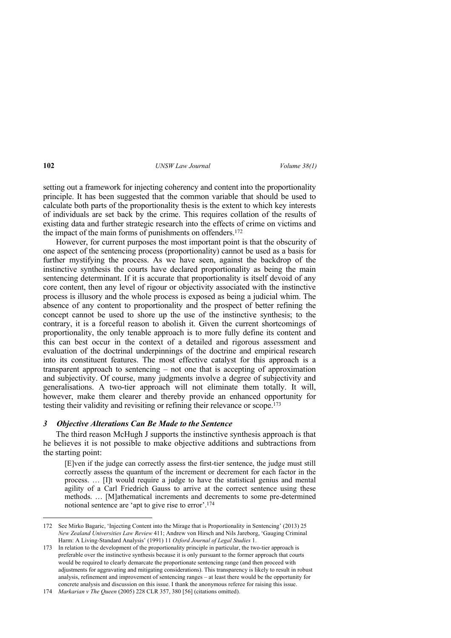setting out a framework for injecting coherency and content into the proportionality principle. It has been suggested that the common variable that should be used to calculate both parts of the proportionality thesis is the extent to which key interests of individuals are set back by the crime. This requires collation of the results of existing data and further strategic research into the effects of crime on victims and the impact of the main forms of punishments on offenders.<sup>172</sup>

However, for current purposes the most important point is that the obscurity of one aspect of the sentencing process (proportionality) cannot be used as a basis for further mystifying the process. As we have seen, against the backdrop of the instinctive synthesis the courts have declared proportionality as being the main sentencing determinant. If it is accurate that proportionality is itself devoid of any core content, then any level of rigour or objectivity associated with the instinctive process is illusory and the whole process is exposed as being a judicial whim. The absence of any content to proportionality and the prospect of better refining the concept cannot be used to shore up the use of the instinctive synthesis; to the contrary, it is a forceful reason to abolish it. Given the current shortcomings of proportionality, the only tenable approach is to more fully define its content and this can best occur in the context of a detailed and rigorous assessment and evaluation of the doctrinal underpinnings of the doctrine and empirical research into its constituent features. The most effective catalyst for this approach is a transparent approach to sentencing – not one that is accepting of approximation and subjectivity. Of course, many judgments involve a degree of subjectivity and generalisations. A two-tier approach will not eliminate them totally. It will, however, make them clearer and thereby provide an enhanced opportunity for testing their validity and revisiting or refining their relevance or scope.<sup>173</sup>

### *3 Objective Alterations Can Be Made to the Sentence*

The third reason McHugh J supports the instinctive synthesis approach is that he believes it is not possible to make objective additions and subtractions from the starting point:

[E]ven if the judge can correctly assess the first-tier sentence, the judge must still correctly assess the quantum of the increment or decrement for each factor in the process. … [I]t would require a judge to have the statistical genius and mental agility of a Carl Friedrich Gauss to arrive at the correct sentence using these methods. … [M]athematical increments and decrements to some pre-determined notional sentence are 'apt to give rise to error'.<sup>174</sup>

<sup>172</sup> See Mirko Bagaric, 'Injecting Content into the Mirage that is Proportionality in Sentencing' (2013) 25 *New Zealand Universities Law Review* 411; Andrew von Hirsch and Nils Jareborg, 'Gauging Criminal Harm: A Living-Standard Analysis' (1991) 11 *Oxford Journal of Legal Studies* 1.

<sup>173</sup> In relation to the development of the proportionality principle in particular, the two-tier approach is preferable over the instinctive synthesis because it is only pursuant to the former approach that courts would be required to clearly demarcate the proportionate sentencing range (and then proceed with adjustments for aggravating and mitigating considerations). This transparency is likely to result in robust analysis, refinement and improvement of sentencing ranges – at least there would be the opportunity for concrete analysis and discussion on this issue. I thank the anonymous referee for raising this issue.

<sup>174</sup> *Markarian v The Queen* (2005) 228 CLR 357, 380 [56] (citations omitted).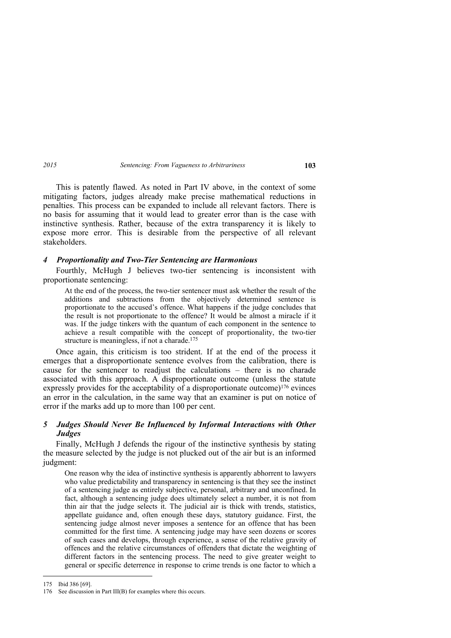This is patently flawed. As noted in Part IV above, in the context of some mitigating factors, judges already make precise mathematical reductions in penalties. This process can be expanded to include all relevant factors. There is no basis for assuming that it would lead to greater error than is the case with instinctive synthesis. Rather, because of the extra transparency it is likely to expose more error. This is desirable from the perspective of all relevant stakeholders.

## *4 Proportionality and Two-Tier Sentencing are Harmonious*

Fourthly, McHugh J believes two-tier sentencing is inconsistent with proportionate sentencing:

At the end of the process, the two-tier sentencer must ask whether the result of the additions and subtractions from the objectively determined sentence is proportionate to the accused's offence. What happens if the judge concludes that the result is not proportionate to the offence? It would be almost a miracle if it was. If the judge tinkers with the quantum of each component in the sentence to achieve a result compatible with the concept of proportionality, the two-tier structure is meaningless, if not a charade.<sup>175</sup>

Once again, this criticism is too strident. If at the end of the process it emerges that a disproportionate sentence evolves from the calibration, there is cause for the sentencer to readjust the calculations – there is no charade associated with this approach. A disproportionate outcome (unless the statute expressly provides for the acceptability of a disproportionate outcome)<sup>176</sup> evinces an error in the calculation, in the same way that an examiner is put on notice of error if the marks add up to more than 100 per cent.

## *5 Judges Should Never Be Influenced by Informal Interactions with Other Judges*

Finally, McHugh J defends the rigour of the instinctive synthesis by stating the measure selected by the judge is not plucked out of the air but is an informed judgment:

One reason why the idea of instinctive synthesis is apparently abhorrent to lawyers who value predictability and transparency in sentencing is that they see the instinct of a sentencing judge as entirely subjective, personal, arbitrary and unconfined. In fact, although a sentencing judge does ultimately select a number, it is not from thin air that the judge selects it. The judicial air is thick with trends, statistics, appellate guidance and, often enough these days, statutory guidance. First, the sentencing judge almost never imposes a sentence for an offence that has been committed for the first time. A sentencing judge may have seen dozens or scores of such cases and develops, through experience, a sense of the relative gravity of offences and the relative circumstances of offenders that dictate the weighting of different factors in the sentencing process. The need to give greater weight to general or specific deterrence in response to crime trends is one factor to which a

<sup>175</sup> Ibid 386 [69].

<sup>176</sup> See discussion in Part III(B) for examples where this occurs.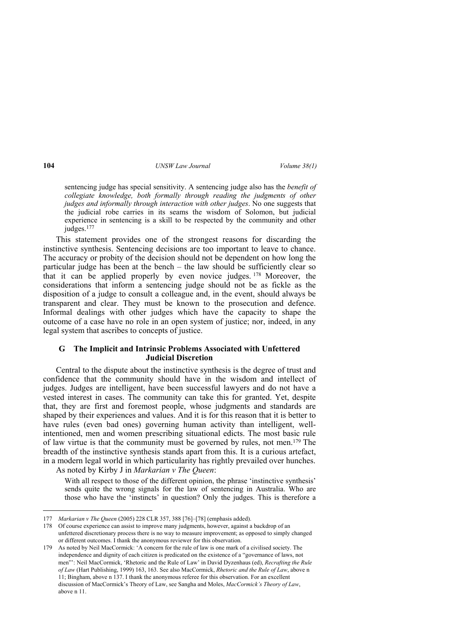sentencing judge has special sensitivity. A sentencing judge also has the *benefit of collegiate knowledge, both formally through reading the judgments of other judges and informally through interaction with other judges*. No one suggests that the judicial robe carries in its seams the wisdom of Solomon, but judicial experience in sentencing is a skill to be respected by the community and other judges.<sup>177</sup>

This statement provides one of the strongest reasons for discarding the instinctive synthesis. Sentencing decisions are too important to leave to chance. The accuracy or probity of the decision should not be dependent on how long the particular judge has been at the bench – the law should be sufficiently clear so that it can be applied properly by even novice judges. <sup>178</sup> Moreover, the considerations that inform a sentencing judge should not be as fickle as the disposition of a judge to consult a colleague and, in the event, should always be transparent and clear. They must be known to the prosecution and defence. Informal dealings with other judges which have the capacity to shape the outcome of a case have no role in an open system of justice; nor, indeed, in any legal system that ascribes to concepts of justice.

## **G The Implicit and Intrinsic Problems Associated with Unfettered Judicial Discretion**

Central to the dispute about the instinctive synthesis is the degree of trust and confidence that the community should have in the wisdom and intellect of judges. Judges are intelligent, have been successful lawyers and do not have a vested interest in cases. The community can take this for granted. Yet, despite that, they are first and foremost people, whose judgments and standards are shaped by their experiences and values. And it is for this reason that it is better to have rules (even bad ones) governing human activity than intelligent, wellintentioned, men and women prescribing situational edicts. The most basic rule of law virtue is that the community must be governed by rules, not men.179 The breadth of the instinctive synthesis stands apart from this. It is a curious artefact, in a modern legal world in which particularity has rightly prevailed over hunches. As noted by Kirby J in *Markarian v The Queen*:

With all respect to those of the different opinion, the phrase 'instinctive synthesis' sends quite the wrong signals for the law of sentencing in Australia. Who are those who have the 'instincts' in question? Only the judges. This is therefore a

<sup>177</sup> *Markarian v The Queen* (2005) 228 CLR 357, 388 [76]–[78] (emphasis added).

<sup>178</sup> Of course experience can assist to improve many judgments, however, against a backdrop of an unfettered discretionary process there is no way to measure improvement; as opposed to simply changed or different outcomes. I thank the anonymous reviewer for this observation.

<sup>179</sup> As noted by Neil MacCormick: 'A concern for the rule of law is one mark of a civilised society. The independence and dignity of each citizen is predicated on the existence of a "governance of laws, not men"': Neil MacCormick, 'Rhetoric and the Rule of Law' in David Dyzenhaus (ed), *Recrafting the Rule of Law* (Hart Publishing, 1999) 163, 163. See also MacCormick, *Rhetoric and the Rule of Law*, above n 11; Bingham, above n 137. I thank the anonymous referee for this observation. For an excellent discussion of MacCormick's Theory of Law, see Sangha and Moles, *MacCormick's Theory of Law*, above n 11.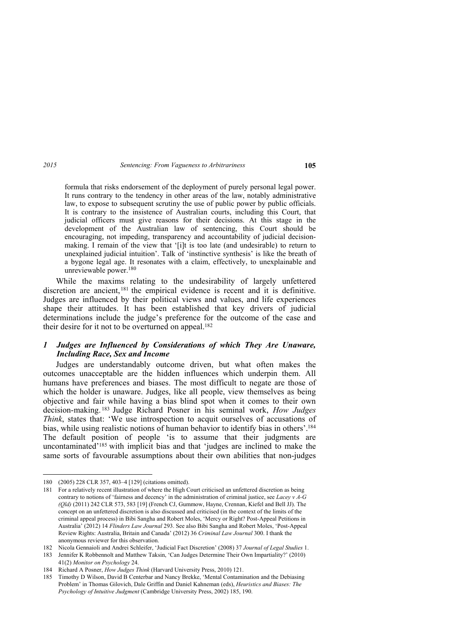formula that risks endorsement of the deployment of purely personal legal power. It runs contrary to the tendency in other areas of the law, notably administrative law, to expose to subsequent scrutiny the use of public power by public officials. It is contrary to the insistence of Australian courts, including this Court, that judicial officers must give reasons for their decisions. At this stage in the development of the Australian law of sentencing, this Court should be encouraging, not impeding, transparency and accountability of judicial decisionmaking. I remain of the view that '[i]t is too late (and undesirable) to return to unexplained judicial intuition'. Talk of 'instinctive synthesis' is like the breath of a bygone legal age. It resonates with a claim, effectively, to unexplainable and unreviewable power.<sup>180</sup>

While the maxims relating to the undesirability of largely unfettered discretion are ancient,<sup>181</sup> the empirical evidence is recent and it is definitive. Judges are influenced by their political views and values, and life experiences shape their attitudes. It has been established that key drivers of judicial determinations include the judge's preference for the outcome of the case and their desire for it not to be overturned on appeal.<sup>182</sup>

## *1 Judges are Influenced by Considerations of which They Are Unaware, Including Race, Sex and Income*

Judges are understandably outcome driven, but what often makes the outcomes unacceptable are the hidden influences which underpin them. All humans have preferences and biases. The most difficult to negate are those of which the holder is unaware. Judges, like all people, view themselves as being objective and fair while having a bias blind spot when it comes to their own decision-making. <sup>183</sup> Judge Richard Posner in his seminal work, *How Judges Think*, states that: 'We use introspection to acquit ourselves of accusations of bias, while using realistic notions of human behavior to identify bias in others'.<sup>184</sup> The default position of people 'is to assume that their judgments are uncontaminated'185 with implicit bias and that 'judges are inclined to make the same sorts of favourable assumptions about their own abilities that non-judges

<sup>180 (2005) 228</sup> CLR 357, 403–4 [129] (citations omitted).

<sup>181</sup> For a relatively recent illustration of where the High Court criticised an unfettered discretion as being contrary to notions of 'fairness and decency' in the administration of criminal justice, see *Lacey v A-G (Qld)* (2011) 242 CLR 573, 583 [19] (French CJ, Gummow, Hayne, Crennan, Kiefel and Bell JJ). The concept on an unfettered discretion is also discussed and criticised (in the context of the limits of the criminal appeal process) in Bibi Sangha and Robert Moles, 'Mercy or Right? Post-Appeal Petitions in Australia' (2012) 14 *Flinders Law Journal* 293. See also Bibi Sangha and Robert Moles, 'Post-Appeal Review Rights: Australia, Britain and Canada' (2012) 36 *Criminal Law Journal* 300. I thank the anonymous reviewer for this observation.

<sup>182</sup> Nicola Gennaioli and Andrei Schleifer, 'Judicial Fact Discretion' (2008) 37 *Journal of Legal Studies* 1.

<sup>183</sup> Jennifer K Robbennolt and Matthew Taksin, 'Can Judges Determine Their Own Impartiality?' (2010) 41(2) *Monitor on Psychology* 24.

<sup>184</sup> Richard A Posner, *How Judges Think* (Harvard University Press, 2010) 121.

<sup>185</sup> Timothy D Wilson, David B Centerbar and Nancy Brekke, 'Mental Contamination and the Debiasing Problem' in Thomas Gilovich, Dale Griffin and Daniel Kahneman (eds), *Heuristics and Biases: The Psychology of Intuitive Judgment* (Cambridge University Press, 2002) 185, 190.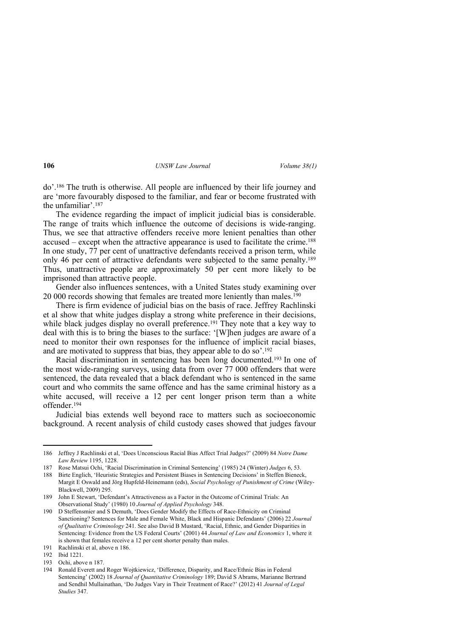do'.186 The truth is otherwise. All people are influenced by their life journey and are 'more favourably disposed to the familiar, and fear or become frustrated with the unfamiliar'.<sup>187</sup>

The evidence regarding the impact of implicit judicial bias is considerable. The range of traits which influence the outcome of decisions is wide-ranging. Thus, we see that attractive offenders receive more lenient penalties than other accused – except when the attractive appearance is used to facilitate the crime.<sup>188</sup> In one study, 77 per cent of unattractive defendants received a prison term, while only 46 per cent of attractive defendants were subjected to the same penalty.<sup>189</sup> Thus, unattractive people are approximately 50 per cent more likely to be imprisoned than attractive people.

Gender also influences sentences, with a United States study examining over 20 000 records showing that females are treated more leniently than males.<sup>190</sup>

There is firm evidence of judicial bias on the basis of race. Jeffrey Rachlinski et al show that white judges display a strong white preference in their decisions, while black judges display no overall preference.<sup>191</sup> They note that a key way to deal with this is to bring the biases to the surface: '[W]hen judges are aware of a need to monitor their own responses for the influence of implicit racial biases, and are motivated to suppress that bias, they appear able to do so'.<sup>192</sup>

Racial discrimination in sentencing has been long documented.193 In one of the most wide-ranging surveys, using data from over 77 000 offenders that were sentenced, the data revealed that a black defendant who is sentenced in the same court and who commits the same offence and has the same criminal history as a white accused, will receive a 12 per cent longer prison term than a white offender.<sup>194</sup>

Judicial bias extends well beyond race to matters such as socioeconomic background. A recent analysis of child custody cases showed that judges favour

<sup>186</sup> Jeffrey J Rachlinski et al, 'Does Unconscious Racial Bias Affect Trial Judges?' (2009) 84 *Notre Dame Law Review* 1195, 1228.

<sup>187</sup> Rose Matsui Ochi, 'Racial Discrimination in Criminal Sentencing' (1985) 24 (Winter) *Judges* 6, 53.

<sup>188</sup> Birte Englich, 'Heuristic Strategies and Persistent Biases in Sentencing Decisions' in Steffen Bieneck, Margit E Oswald and Jörg Hupfeld-Heinemann (eds), *Social Psychology of Punishment of Crime* (Wiley-Blackwell, 2009) 295.

<sup>189</sup> John E Stewart, 'Defendant's Attractiveness as a Factor in the Outcome of Criminal Trials: An Observational Study' (1980) 10 *Journal of Applied Psychology* 348.

<sup>190</sup> D Steffensmier and S Demuth, 'Does Gender Modify the Effects of Race-Ethnicity on Criminal Sanctioning? Sentences for Male and Female White, Black and Hispanic Defendants' (2006) 22 *Journal of Qualitative Criminology* 241. See also David B Mustard, 'Racial, Ethnic, and Gender Disparities in Sentencing: Evidence from the US Federal Courts' (2001) 44 *Journal of Law and Economics* 1, where it is shown that females receive a 12 per cent shorter penalty than males.

<sup>191</sup> Rachlinski et al, above n 186.

<sup>192</sup> Ibid 1221.

<sup>193</sup> Ochi, above n 187.

<sup>194</sup> Ronald Everett and Roger Wojtkiewicz, 'Difference, Disparity, and Race/Ethnic Bias in Federal Sentencing' (2002) 18 *Journal of Quantitative Criminology* 189; David S Abrams, Marianne Bertrand and Sendhil Mullainathan, 'Do Judges Vary in Their Treatment of Race?' (2012) 41 *Journal of Legal Studies* 347.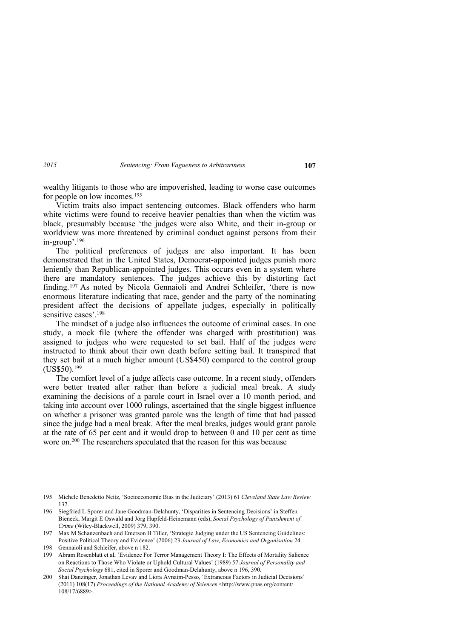wealthy litigants to those who are impoverished, leading to worse case outcomes for people on low incomes.<sup>195</sup>

Victim traits also impact sentencing outcomes. Black offenders who harm white victims were found to receive heavier penalties than when the victim was black, presumably because 'the judges were also White, and their in-group or worldview was more threatened by criminal conduct against persons from their in-group'.<sup>196</sup>

The political preferences of judges are also important. It has been demonstrated that in the United States, Democrat-appointed judges punish more leniently than Republican-appointed judges. This occurs even in a system where there are mandatory sentences. The judges achieve this by distorting fact finding.<sup>197</sup> As noted by Nicola Gennaioli and Andrei Schleifer, 'there is now enormous literature indicating that race, gender and the party of the nominating president affect the decisions of appellate judges, especially in politically sensitive cases'.<sup>198</sup>

The mindset of a judge also influences the outcome of criminal cases. In one study, a mock file (where the offender was charged with prostitution) was assigned to judges who were requested to set bail. Half of the judges were instructed to think about their own death before setting bail. It transpired that they set bail at a much higher amount (US\$450) compared to the control group (US\$50).<sup>199</sup>

The comfort level of a judge affects case outcome. In a recent study, offenders were better treated after rather than before a judicial meal break. A study examining the decisions of a parole court in Israel over a 10 month period, and taking into account over 1000 rulings, ascertained that the single biggest influence on whether a prisoner was granted parole was the length of time that had passed since the judge had a meal break. After the meal breaks, judges would grant parole at the rate of 65 per cent and it would drop to between 0 and 10 per cent as time wore on.<sup>200</sup> The researchers speculated that the reason for this was because

<sup>195</sup> Michele Benedetto Neitz, 'Socioeconomic Bias in the Judiciary' (2013) 61 *Cleveland State Law Review* 137.

<sup>196</sup> Siegfried L Sporer and Jane Goodman-Delahunty, 'Disparities in Sentencing Decisions' in Steffen Bieneck, Margit E Oswald and Jörg Hupfeld-Heinemann (eds), *Social Psychology of Punishment of Crime* (Wiley-Blackwell, 2009) 379, 390.

<sup>197</sup> Max M Schanzenbach and Emerson H Tiller, 'Strategic Judging under the US Sentencing Guidelines: Positive Political Theory and Evidence' (2006) 23 *Journal of Law, Economics and Organisation* 24.

<sup>198</sup> Gennaioli and Schleifer, above n 182.

<sup>199</sup> Abram Rosenblatt et al, 'Evidence For Terror Management Theory I: The Effects of Mortality Salience on Reactions to Those Who Violate or Uphold Cultural Values' (1989) 57 *Journal of Personality and Social Psychology* 681, cited in Sporer and Goodman-Delahunty, above n 196, 390.

<sup>200</sup> Shai Danzinger, Jonathan Levav and Liora Avnaim-Pesso, 'Extraneous Factors in Judicial Decisions' (2011) 108(17) *Proceedings of the National Academy of Science*s <http://www.pnas.org/content/ 108/17/6889>.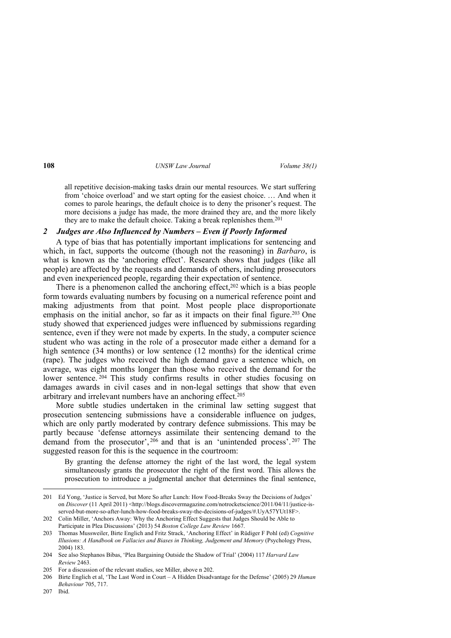all repetitive decision-making tasks drain our mental resources. We start suffering from 'choice overload' and we start opting for the easiest choice. … And when it comes to parole hearings, the default choice is to deny the prisoner's request. The more decisions a judge has made, the more drained they are, and the more likely they are to make the default choice. Taking a break replenishes them.<sup>201</sup>

## *2 Judges are Also Influenced by Numbers – Even if Poorly Informed*

A type of bias that has potentially important implications for sentencing and which, in fact, supports the outcome (though not the reasoning) in *Barbaro*, is what is known as the 'anchoring effect'. Research shows that judges (like all people) are affected by the requests and demands of others, including prosecutors and even inexperienced people, regarding their expectation of sentence.

There is a phenomenon called the anchoring effect,<sup>202</sup> which is a bias people form towards evaluating numbers by focusing on a numerical reference point and making adjustments from that point. Most people place disproportionate emphasis on the initial anchor, so far as it impacts on their final figure.<sup>203</sup> One study showed that experienced judges were influenced by submissions regarding sentence, even if they were not made by experts. In the study, a computer science student who was acting in the role of a prosecutor made either a demand for a high sentence (34 months) or low sentence (12 months) for the identical crime (rape). The judges who received the high demand gave a sentence which, on average, was eight months longer than those who received the demand for the lower sentence.<sup>204</sup> This study confirms results in other studies focusing on damages awards in civil cases and in non-legal settings that show that even arbitrary and irrelevant numbers have an anchoring effect.<sup>205</sup>

More subtle studies undertaken in the criminal law setting suggest that prosecution sentencing submissions have a considerable influence on judges, which are only partly moderated by contrary defence submissions. This may be partly because 'defense attorneys assimilate their sentencing demand to the demand from the prosecutor', <sup>206</sup> and that is an 'unintended process'. <sup>207</sup> The suggested reason for this is the sequence in the courtroom:

By granting the defense attorney the right of the last word, the legal system simultaneously grants the prosecutor the right of the first word. This allows the prosecution to introduce a judgmental anchor that determines the final sentence,

<sup>201</sup> Ed Yong, 'Justice is Served, but More So after Lunch: How Food-Breaks Sway the Decisions of Judges' on *Discover* (11 April 2011) <http://blogs.discovermagazine.com/notrocketscience/2011/04/11/justice-isserved-but-more-so-after-lunch-how-food-breaks-sway-the-decisions-of-judges/#.UyA57YUt18F>.

<sup>202</sup> Colin Miller, 'Anchors Away: Why the Anchoring Effect Suggests that Judges Should be Able to Participate in Plea Discussions' (2013) 54 *Boston College Law Review* 1667.

<sup>203</sup> Thomas Mussweiler, Birte Englich and Fritz Strack, 'Anchoring Effect' in Rüdiger F Pohl (ed) *Cognitive Illusions: A Handbook on Fallacies and Biases in Thinking, Judgement and Memory* (Psychology Press, 2004) 183.

<sup>204</sup> See also Stephanos Bibas, 'Plea Bargaining Outside the Shadow of Trial' (2004) 117 *Harvard Law Review* 2463.

<sup>205</sup> For a discussion of the relevant studies, see Miller, above n 202.

<sup>206</sup> Birte Englich et al, 'The Last Word in Court – A Hidden Disadvantage for the Defense' (2005) 29 *Human Behaviour* 705, 717.

<sup>207</sup> Ibid.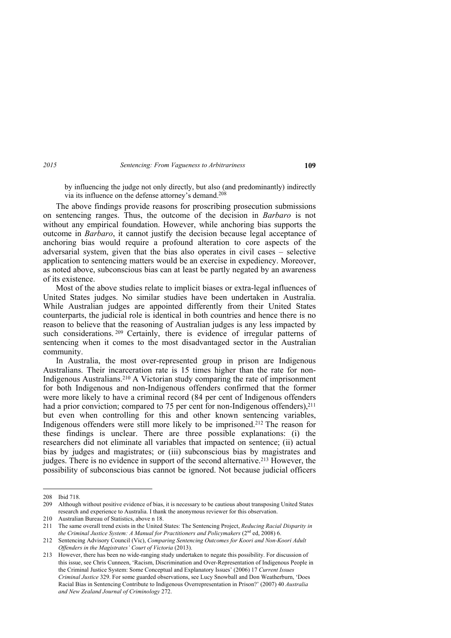by influencing the judge not only directly, but also (and predominantly) indirectly via its influence on the defense attorney's demand.<sup>208</sup>

The above findings provide reasons for proscribing prosecution submissions on sentencing ranges. Thus, the outcome of the decision in *Barbaro* is not without any empirical foundation. However, while anchoring bias supports the outcome in *Barbaro*, it cannot justify the decision because legal acceptance of anchoring bias would require a profound alteration to core aspects of the adversarial system, given that the bias also operates in civil cases – selective application to sentencing matters would be an exercise in expediency. Moreover, as noted above, subconscious bias can at least be partly negated by an awareness of its existence.

Most of the above studies relate to implicit biases or extra-legal influences of United States judges. No similar studies have been undertaken in Australia. While Australian judges are appointed differently from their United States counterparts, the judicial role is identical in both countries and hence there is no reason to believe that the reasoning of Australian judges is any less impacted by such considerations. <sup>209</sup> Certainly, there is evidence of irregular patterns of sentencing when it comes to the most disadvantaged sector in the Australian community.

In Australia, the most over-represented group in prison are Indigenous Australians. Their incarceration rate is 15 times higher than the rate for non-Indigenous Australians.210 A Victorian study comparing the rate of imprisonment for both Indigenous and non-Indigenous offenders confirmed that the former were more likely to have a criminal record (84 per cent of Indigenous offenders had a prior conviction; compared to 75 per cent for non-Indigenous offenders),<sup>211</sup> but even when controlling for this and other known sentencing variables, Indigenous offenders were still more likely to be imprisoned.212 The reason for these findings is unclear. There are three possible explanations: (i) the researchers did not eliminate all variables that impacted on sentence; (ii) actual bias by judges and magistrates; or (iii) subconscious bias by magistrates and judges. There is no evidence in support of the second alternative.213 However, the possibility of subconscious bias cannot be ignored. Not because judicial officers

<sup>208</sup> Ibid 718.

<sup>209</sup> Although without positive evidence of bias, it is necessary to be cautious about transposing United States research and experience to Australia. I thank the anonymous reviewer for this observation.

<sup>210</sup> Australian Bureau of Statistics, above n 18.

<sup>211</sup> The same overall trend exists in the United States: The Sentencing Project, *Reducing Racial Disparity in the Criminal Justice System: A Manual for Practitioners and Policymakers* (2<sup>nd</sup> ed, 2008) 6.

<sup>212</sup> Sentencing Advisory Council (Vic), *Comparing Sentencing Outcomes for Koori and Non-Koori Adult Offenders in the Magistrates' Court of Victoria* (2013).

<sup>213</sup> However, there has been no wide-ranging study undertaken to negate this possibility. For discussion of this issue, see Chris Cunneen, 'Racism, Discrimination and Over-Representation of Indigenous People in the Criminal Justice System: Some Conceptual and Explanatory Issues' (2006) 17 *Current Issues Criminal Justice* 329. For some guarded observations, see Lucy Snowball and Don Weatherburn, 'Does Racial Bias in Sentencing Contribute to Indigenous Overrepresentation in Prison?' (2007) 40 *Australia and New Zealand Journal of Criminology* 272.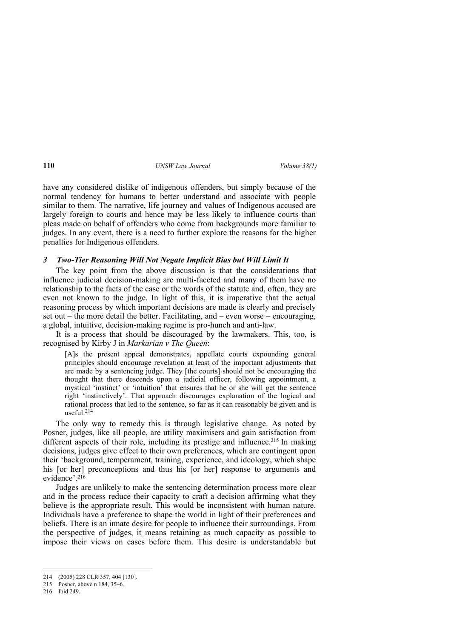have any considered dislike of indigenous offenders, but simply because of the normal tendency for humans to better understand and associate with people similar to them. The narrative, life journey and values of Indigenous accused are largely foreign to courts and hence may be less likely to influence courts than pleas made on behalf of offenders who come from backgrounds more familiar to judges. In any event, there is a need to further explore the reasons for the higher penalties for Indigenous offenders.

## *3 Two-Tier Reasoning Will Not Negate Implicit Bias but Will Limit It*

The key point from the above discussion is that the considerations that influence judicial decision-making are multi-faceted and many of them have no relationship to the facts of the case or the words of the statute and, often, they are even not known to the judge. In light of this, it is imperative that the actual reasoning process by which important decisions are made is clearly and precisely set out – the more detail the better. Facilitating, and – even worse – encouraging, a global, intuitive, decision-making regime is pro-hunch and anti-law.

It is a process that should be discouraged by the lawmakers. This, too, is recognised by Kirby J in *Markarian v The Queen*:

[A]s the present appeal demonstrates, appellate courts expounding general principles should encourage revelation at least of the important adjustments that are made by a sentencing judge. They [the courts] should not be encouraging the thought that there descends upon a judicial officer, following appointment, a mystical 'instinct' or 'intuition' that ensures that he or she will get the sentence right 'instinctively'. That approach discourages explanation of the logical and rational process that led to the sentence, so far as it can reasonably be given and is useful  $214$ 

The only way to remedy this is through legislative change. As noted by Posner, judges, like all people, are utility maximisers and gain satisfaction from different aspects of their role, including its prestige and influence.<sup>215</sup> In making decisions, judges give effect to their own preferences, which are contingent upon their 'background, temperament, training, experience, and ideology, which shape his [or her] preconceptions and thus his [or her] response to arguments and evidence'.<sup>216</sup>

Judges are unlikely to make the sentencing determination process more clear and in the process reduce their capacity to craft a decision affirming what they believe is the appropriate result. This would be inconsistent with human nature. Individuals have a preference to shape the world in light of their preferences and beliefs. There is an innate desire for people to influence their surroundings. From the perspective of judges, it means retaining as much capacity as possible to impose their views on cases before them. This desire is understandable but

<sup>214 (2005) 228</sup> CLR 357, 404 [130].

<sup>215</sup> Posner, above n 184, 35–6.

<sup>216</sup> Ibid 249.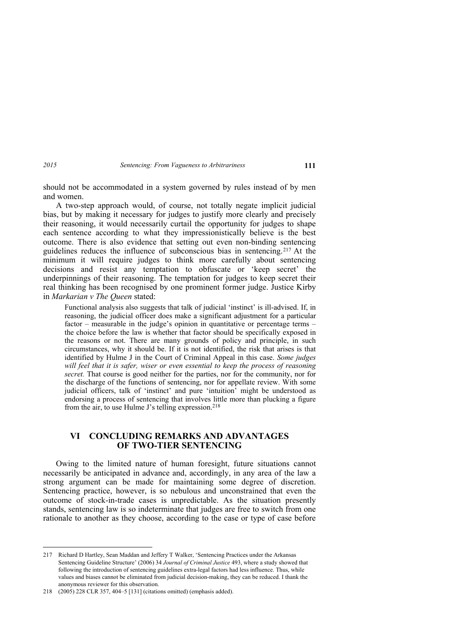should not be accommodated in a system governed by rules instead of by men and women.

A two-step approach would, of course, not totally negate implicit judicial bias, but by making it necessary for judges to justify more clearly and precisely their reasoning, it would necessarily curtail the opportunity for judges to shape each sentence according to what they impressionistically believe is the best outcome. There is also evidence that setting out even non-binding sentencing guidelines reduces the influence of subconscious bias in sentencing.217 At the minimum it will require judges to think more carefully about sentencing decisions and resist any temptation to obfuscate or 'keep secret' the underpinnings of their reasoning. The temptation for judges to keep secret their real thinking has been recognised by one prominent former judge. Justice Kirby in *Markarian v The Queen* stated:

Functional analysis also suggests that talk of judicial 'instinct' is ill-advised. If, in reasoning, the judicial officer does make a significant adjustment for a particular factor – measurable in the judge's opinion in quantitative or percentage terms – the choice before the law is whether that factor should be specifically exposed in the reasons or not. There are many grounds of policy and principle, in such circumstances, why it should be. If it is not identified, the risk that arises is that identified by Hulme J in the Court of Criminal Appeal in this case. *Some judges will feel that it is safer, wiser or even essential to keep the process of reasoning secret.* That course is good neither for the parties, nor for the community, nor for the discharge of the functions of sentencing, nor for appellate review. With some judicial officers, talk of 'instinct' and pure 'intuition' might be understood as endorsing a process of sentencing that involves little more than plucking a figure from the air, to use Hulme J's telling expression.<sup>218</sup>

## **VI CONCLUDING REMARKS AND ADVANTAGES OF TWO-TIER SENTENCING**

Owing to the limited nature of human foresight, future situations cannot necessarily be anticipated in advance and, accordingly, in any area of the law a strong argument can be made for maintaining some degree of discretion. Sentencing practice, however, is so nebulous and unconstrained that even the outcome of stock-in-trade cases is unpredictable. As the situation presently stands, sentencing law is so indeterminate that judges are free to switch from one rationale to another as they choose, according to the case or type of case before

<sup>217</sup> Richard D Hartley, Sean Maddan and Jeffery T Walker, 'Sentencing Practices under the Arkansas Sentencing Guideline Structure' (2006) 34 *Journal of Criminal Justice* 493, where a study showed that following the introduction of sentencing guidelines extra-legal factors had less influence. Thus, while values and biases cannot be eliminated from judicial decision-making, they can be reduced. I thank the anonymous reviewer for this observation.

<sup>218 (2005) 228</sup> CLR 357, 404–5 [131] (citations omitted) (emphasis added).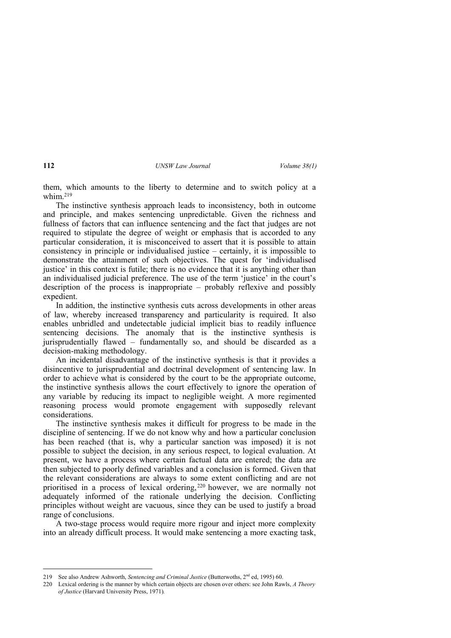them, which amounts to the liberty to determine and to switch policy at a whim.<sup>219</sup>

The instinctive synthesis approach leads to inconsistency, both in outcome and principle, and makes sentencing unpredictable. Given the richness and fullness of factors that can influence sentencing and the fact that judges are not required to stipulate the degree of weight or emphasis that is accorded to any particular consideration, it is misconceived to assert that it is possible to attain consistency in principle or individualised justice – certainly, it is impossible to demonstrate the attainment of such objectives. The quest for 'individualised justice' in this context is futile; there is no evidence that it is anything other than an individualised judicial preference. The use of the term 'justice' in the court's description of the process is inappropriate – probably reflexive and possibly expedient.

In addition, the instinctive synthesis cuts across developments in other areas of law, whereby increased transparency and particularity is required. It also enables unbridled and undetectable judicial implicit bias to readily influence sentencing decisions. The anomaly that is the instinctive synthesis is jurisprudentially flawed – fundamentally so, and should be discarded as a decision-making methodology.

An incidental disadvantage of the instinctive synthesis is that it provides a disincentive to jurisprudential and doctrinal development of sentencing law. In order to achieve what is considered by the court to be the appropriate outcome, the instinctive synthesis allows the court effectively to ignore the operation of any variable by reducing its impact to negligible weight. A more regimented reasoning process would promote engagement with supposedly relevant considerations.

The instinctive synthesis makes it difficult for progress to be made in the discipline of sentencing. If we do not know why and how a particular conclusion has been reached (that is, why a particular sanction was imposed) it is not possible to subject the decision, in any serious respect, to logical evaluation. At present, we have a process where certain factual data are entered; the data are then subjected to poorly defined variables and a conclusion is formed. Given that the relevant considerations are always to some extent conflicting and are not prioritised in a process of lexical ordering, <sup>220</sup> however, we are normally not adequately informed of the rationale underlying the decision. Conflicting principles without weight are vacuous, since they can be used to justify a broad range of conclusions.

A two-stage process would require more rigour and inject more complexity into an already difficult process. It would make sentencing a more exacting task,

<sup>219</sup> See also Andrew Ashworth, *Sentencing and Criminal Justice* (Butterwoths, 2nd ed, 1995) 60.

<sup>220</sup> Lexical ordering is the manner by which certain objects are chosen over others: see John Rawls, *A Theory of Justice* (Harvard University Press, 1971)*.*